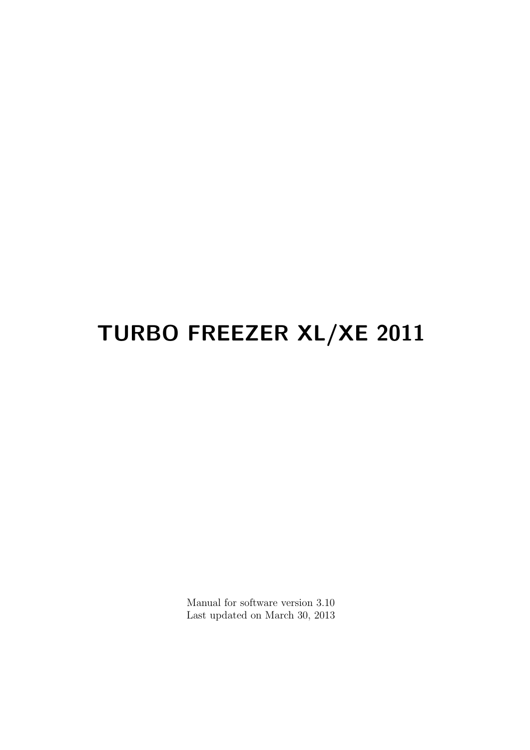# TURBO FREEZER XL/XE 2011

Manual for software version 3.10 Last updated on March 30, 2013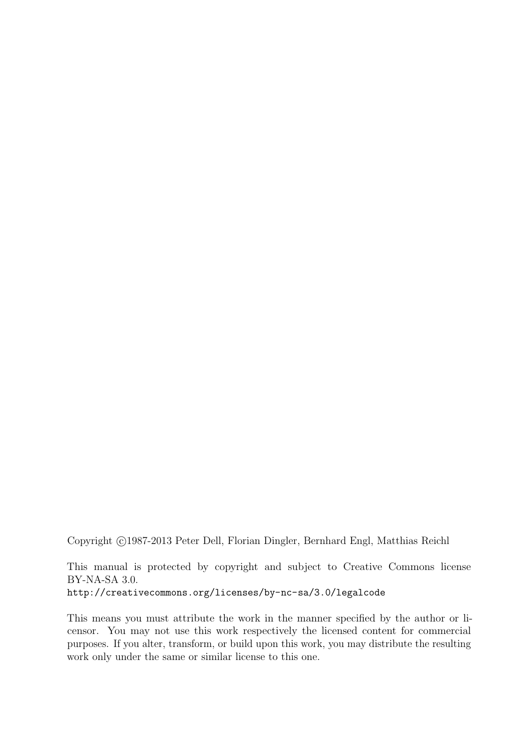Copyright (c)1987-2013 Peter Dell, Florian Dingler, Bernhard Engl, Matthias Reichl

This manual is protected by copyright and subject to Creative Commons license BY-NA-SA 3.0. <http://creativecommons.org/licenses/by-nc-sa/3.0/legalcode>

This means you must attribute the work in the manner specified by the author or licensor. You may not use this work respectively the licensed content for commercial purposes. If you alter, transform, or build upon this work, you may distribute the resulting work only under the same or similar license to this one.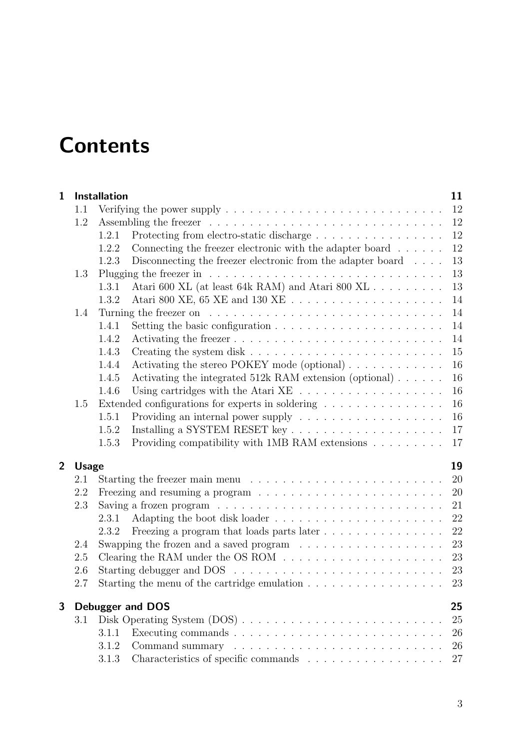# **Contents**

| $\mathbf{1}$   |              | <b>Installation</b> |                                                                                                     | 11 |
|----------------|--------------|---------------------|-----------------------------------------------------------------------------------------------------|----|
|                | 1.1          |                     | Verifying the power supply $\dots \dots \dots \dots \dots \dots \dots \dots \dots \dots \dots$      | 12 |
|                | 1.2          |                     |                                                                                                     | 12 |
|                |              | 1.2.1               | Protecting from electro-static discharge                                                            | 12 |
|                |              | 1.2.2               | Connecting the freezer electronic with the adapter board $\ldots \ldots$                            | 12 |
|                |              | 1.2.3               | Disconnecting the freezer electronic from the adapter board $\ldots$ .                              | 13 |
|                | 1.3          |                     |                                                                                                     | 13 |
|                |              | 1.3.1               |                                                                                                     | 13 |
|                |              | 1.3.2               |                                                                                                     | 14 |
|                | 1.4          |                     |                                                                                                     | 14 |
|                |              | 1.4.1               |                                                                                                     | 14 |
|                |              | 1.4.2               |                                                                                                     | 14 |
|                |              | 1.4.3               |                                                                                                     | 15 |
|                |              | 1.4.4               | Activating the stereo POKEY mode (optional)                                                         | 16 |
|                |              | 1.4.5               | Activating the integrated 512k RAM extension (optional) $\ldots \ldots$                             | 16 |
|                |              | 1.4.6               |                                                                                                     | 16 |
|                | 1.5          |                     | Extended configurations for experts in soldering $\hfill\ldots\ldots\ldots\ldots\ldots\ldots\ldots$ | 16 |
|                |              | 1.5.1               |                                                                                                     | 16 |
|                |              | 1.5.2               |                                                                                                     | 17 |
|                |              | 1.5.3               | Providing compatibility with 1MB RAM extensions $\ldots \ldots \ldots$                              | 17 |
| $\overline{2}$ | <b>Usage</b> |                     |                                                                                                     | 19 |
|                | 2.1          |                     |                                                                                                     | 20 |
|                | 2.2          |                     | Freezing and resuming a program $\ldots \ldots \ldots \ldots \ldots \ldots \ldots \ldots$           | 20 |
|                | 2.3          |                     | Saving a frozen program $\ldots \ldots \ldots \ldots \ldots \ldots \ldots \ldots \ldots$            | 21 |
|                |              | 2.3.1               |                                                                                                     | 22 |
|                |              | 2.3.2               | Freezing a program that loads parts later                                                           | 22 |
|                | 2.4          |                     | Swapping the frozen and a saved program $\ldots \ldots \ldots \ldots \ldots \ldots$                 | 23 |
|                | 2.5          |                     |                                                                                                     | 23 |
|                | 2.6          |                     |                                                                                                     | 23 |
|                | 2.7          |                     | Starting the menu of the cartridge emulation $\ldots \ldots \ldots \ldots \ldots \ldots$            | 23 |
| 3              |              |                     | <b>Debugger and DOS</b>                                                                             | 25 |
|                | 3.1          |                     |                                                                                                     | 25 |
|                |              | 3.1.1               |                                                                                                     | 26 |
|                |              | 3.1.2               |                                                                                                     | 26 |
|                |              | 3.1.3               |                                                                                                     | 27 |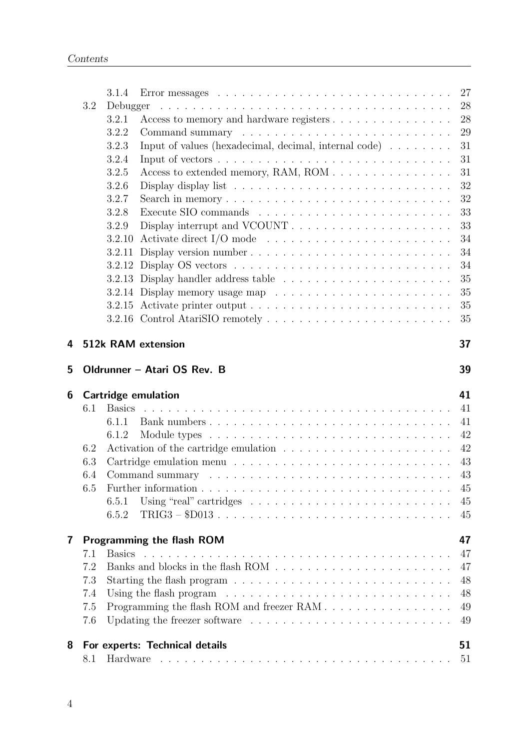|   |     | 3.1.4                                                                                      | 27     |
|---|-----|--------------------------------------------------------------------------------------------|--------|
|   | 3.2 | Debugger                                                                                   | $28\,$ |
|   |     | Access to memory and hardware registers<br>3.2.1                                           | 28     |
|   |     | 3.2.2                                                                                      | 29     |
|   |     | Input of values (hexadecimal, decimal, internal code) $\dots \dots$<br>3.2.3               | 31     |
|   |     | 3.2.4                                                                                      | 31     |
|   |     | 3.2.5                                                                                      | 31     |
|   |     | 3.2.6<br>Display display list $\ldots \ldots \ldots \ldots \ldots \ldots \ldots \ldots$    | 32     |
|   |     | 3.2.7                                                                                      | 32     |
|   |     | 3.2.8                                                                                      | 33     |
|   |     | 3.2.9                                                                                      | 33     |
|   |     | Activate direct I/O mode $\dots \dots \dots \dots \dots \dots \dots \dots \dots$<br>3.2.10 | 34     |
|   |     | 3.2.11 Display version number                                                              | 34     |
|   |     |                                                                                            | 34     |
|   |     |                                                                                            | 35     |
|   |     |                                                                                            | 35     |
|   |     |                                                                                            | 35     |
|   |     |                                                                                            | 35     |
| 4 |     | 512k RAM extension                                                                         | 37     |
| 5 |     | Oldrunner - Atari OS Rev. B                                                                | 39     |
| 6 |     | <b>Cartridge emulation</b>                                                                 | 41     |
|   | 6.1 | <b>Basics</b>                                                                              | 41     |
|   |     | 6.1.1                                                                                      | 41     |
|   |     | 6.1.2                                                                                      | 42     |
|   | 6.2 | Activation of the cartridge emulation $\ldots \ldots \ldots \ldots \ldots \ldots \ldots$   | 42     |
|   | 6.3 |                                                                                            | 43     |
|   | 6.4 |                                                                                            | 43     |
|   | 6.5 |                                                                                            | $45\,$ |
|   |     | Using "real" cartridges $\ldots \ldots \ldots \ldots \ldots \ldots \ldots \ldots$<br>6.5.1 | 45     |
|   |     | $TRIG3 - $D013$<br>6.5.2                                                                   | 45     |
| 7 |     | Programming the flash ROM                                                                  | 47     |
|   | 7.1 | <b>Basics</b>                                                                              | 47     |
|   | 7.2 |                                                                                            | 47     |
|   | 7.3 |                                                                                            | 48     |
|   | 7.4 | Using the flash program $\ldots \ldots \ldots \ldots \ldots \ldots \ldots \ldots \ldots$   | 48     |
|   | 7.5 | Programming the flash ROM and freezer RAM                                                  | 49     |
|   | 7.6 | Updating the freezer software $\dots \dots \dots \dots \dots \dots \dots \dots \dots$      | 49     |
| 8 |     | For experts: Technical details                                                             | 51     |
|   | 8.1 |                                                                                            | 51     |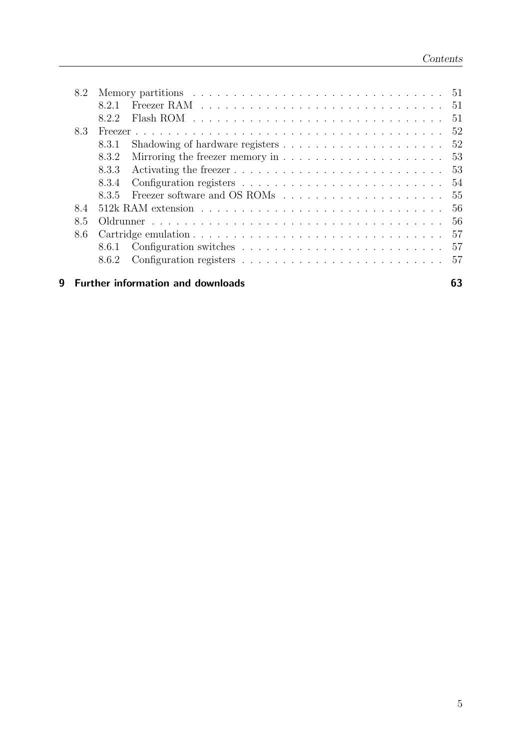|   | 8.2 |       |                                                                                                                                                                                                                                |      |  |  |
|---|-----|-------|--------------------------------------------------------------------------------------------------------------------------------------------------------------------------------------------------------------------------------|------|--|--|
|   |     | 821   | Freezer RAM recovery resources in the set of the set of the set of the set of the set of the set of the set of the set of the set of the set of the set of the set of the set of the set of the set of the set of the set of t | - 51 |  |  |
|   |     | 822   | Flash ROM $\ldots \ldots \ldots \ldots \ldots \ldots \ldots \ldots \ldots \ldots$                                                                                                                                              | 51   |  |  |
|   | 8.3 |       |                                                                                                                                                                                                                                | 52   |  |  |
|   |     | 8.3.1 | Shadowing of hardware registers $\ldots \ldots \ldots \ldots \ldots \ldots \ldots 52$                                                                                                                                          |      |  |  |
|   |     | 8.3.2 | Mirroring the freezer memory in $\dots \dots \dots \dots \dots \dots \dots \dots \dots$ 53                                                                                                                                     |      |  |  |
|   |     | 8.3.3 |                                                                                                                                                                                                                                |      |  |  |
|   |     | 8.3.4 |                                                                                                                                                                                                                                | -54  |  |  |
|   |     | 835   |                                                                                                                                                                                                                                | -55  |  |  |
|   | 84  |       |                                                                                                                                                                                                                                | 56   |  |  |
|   | 8.5 |       |                                                                                                                                                                                                                                | 56   |  |  |
|   | 8.6 |       |                                                                                                                                                                                                                                | 57   |  |  |
|   |     | 8.6.1 | Configuration switches $\ldots \ldots \ldots \ldots \ldots \ldots \ldots \ldots 57$                                                                                                                                            |      |  |  |
|   |     | 8.6.2 |                                                                                                                                                                                                                                |      |  |  |
| g |     |       | <b>Further information and downloads</b>                                                                                                                                                                                       |      |  |  |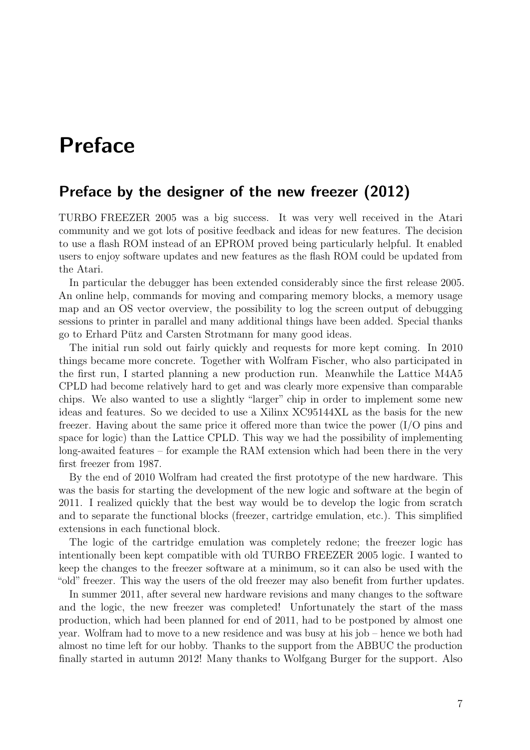# Preface

# Preface by the designer of the new freezer (2012)

TURBO FREEZER 2005 was a big success. It was very well received in the Atari community and we got lots of positive feedback and ideas for new features. The decision to use a flash ROM instead of an EPROM proved being particularly helpful. It enabled users to enjoy software updates and new features as the flash ROM could be updated from the Atari.

In particular the debugger has been extended considerably since the first release 2005. An online help, commands for moving and comparing memory blocks, a memory usage map and an OS vector overview, the possibility to log the screen output of debugging sessions to printer in parallel and many additional things have been added. Special thanks go to Erhard Pütz and Carsten Strotmann for many good ideas.

The initial run sold out fairly quickly and requests for more kept coming. In 2010 things became more concrete. Together with Wolfram Fischer, who also participated in the first run, I started planning a new production run. Meanwhile the Lattice M4A5 CPLD had become relatively hard to get and was clearly more expensive than comparable chips. We also wanted to use a slightly "larger" chip in order to implement some new ideas and features. So we decided to use a Xilinx XC95144XL as the basis for the new freezer. Having about the same price it offered more than twice the power (I/O pins and space for logic) than the Lattice CPLD. This way we had the possibility of implementing long-awaited features – for example the RAM extension which had been there in the very first freezer from 1987.

By the end of 2010 Wolfram had created the first prototype of the new hardware. This was the basis for starting the development of the new logic and software at the begin of 2011. I realized quickly that the best way would be to develop the logic from scratch and to separate the functional blocks (freezer, cartridge emulation, etc.). This simplified extensions in each functional block.

The logic of the cartridge emulation was completely redone; the freezer logic has intentionally been kept compatible with old TURBO FREEZER 2005 logic. I wanted to keep the changes to the freezer software at a minimum, so it can also be used with the "old" freezer. This way the users of the old freezer may also benefit from further updates.

In summer 2011, after several new hardware revisions and many changes to the software and the logic, the new freezer was completed! Unfortunately the start of the mass production, which had been planned for end of 2011, had to be postponed by almost one year. Wolfram had to move to a new residence and was busy at his job – hence we both had almost no time left for our hobby. Thanks to the support from the ABBUC the production finally started in autumn 2012! Many thanks to Wolfgang Burger for the support. Also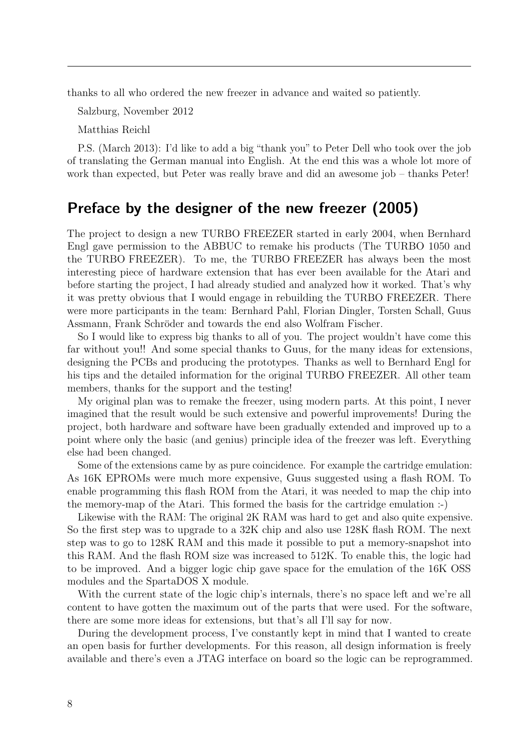thanks to all who ordered the new freezer in advance and waited so patiently.

Salzburg, November 2012

Matthias Reichl

P.S. (March 2013): I'd like to add a big "thank you" to Peter Dell who took over the job of translating the German manual into English. At the end this was a whole lot more of work than expected, but Peter was really brave and did an awesome job – thanks Peter!

## Preface by the designer of the new freezer (2005)

The project to design a new TURBO FREEZER started in early 2004, when Bernhard Engl gave permission to the ABBUC to remake his products (The TURBO 1050 and the TURBO FREEZER). To me, the TURBO FREEZER has always been the most interesting piece of hardware extension that has ever been available for the Atari and before starting the project, I had already studied and analyzed how it worked. That's why it was pretty obvious that I would engage in rebuilding the TURBO FREEZER. There were more participants in the team: Bernhard Pahl, Florian Dingler, Torsten Schall, Guus Assmann, Frank Schröder and towards the end also Wolfram Fischer.

So I would like to express big thanks to all of you. The project wouldn't have come this far without you!! And some special thanks to Guus, for the many ideas for extensions, designing the PCBs and producing the prototypes. Thanks as well to Bernhard Engl for his tips and the detailed information for the original TURBO FREEZER. All other team members, thanks for the support and the testing!

My original plan was to remake the freezer, using modern parts. At this point, I never imagined that the result would be such extensive and powerful improvements! During the project, both hardware and software have been gradually extended and improved up to a point where only the basic (and genius) principle idea of the freezer was left. Everything else had been changed.

Some of the extensions came by as pure coincidence. For example the cartridge emulation: As 16K EPROMs were much more expensive, Guus suggested using a flash ROM. To enable programming this flash ROM from the Atari, it was needed to map the chip into the memory-map of the Atari. This formed the basis for the cartridge emulation :-)

Likewise with the RAM: The original 2K RAM was hard to get and also quite expensive. So the first step was to upgrade to a 32K chip and also use 128K flash ROM. The next step was to go to 128K RAM and this made it possible to put a memory-snapshot into this RAM. And the flash ROM size was increased to 512K. To enable this, the logic had to be improved. And a bigger logic chip gave space for the emulation of the 16K OSS modules and the SpartaDOS X module.

With the current state of the logic chip's internals, there's no space left and we're all content to have gotten the maximum out of the parts that were used. For the software, there are some more ideas for extensions, but that's all I'll say for now.

During the development process, I've constantly kept in mind that I wanted to create an open basis for further developments. For this reason, all design information is freely available and there's even a JTAG interface on board so the logic can be reprogrammed.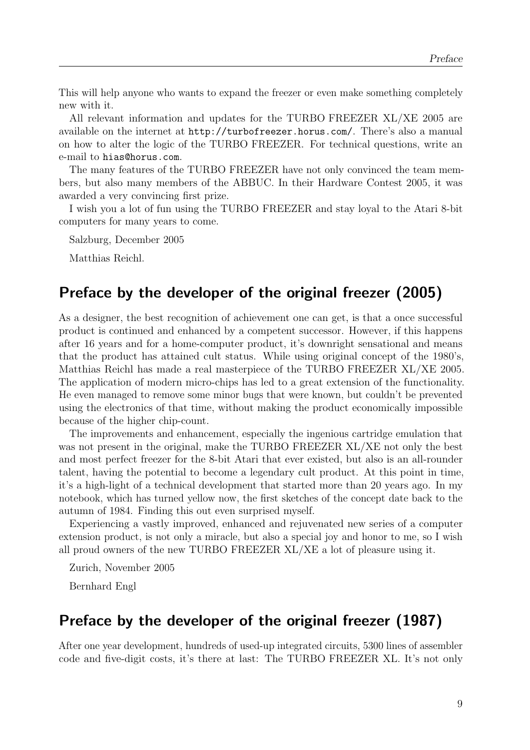This will help anyone who wants to expand the freezer or even make something completely new with it.

All relevant information and updates for the TURBO FREEZER XL/XE 2005 are available on the internet at <http://turbofreezer.horus.com/>. There's also a manual on how to alter the logic of the TURBO FREEZER. For technical questions, write an e-mail to [hias@horus.com](mailto:hias@horus.com).

The many features of the TURBO FREEZER have not only convinced the team members, but also many members of the ABBUC. In their Hardware Contest 2005, it was awarded a very convincing first prize.

I wish you a lot of fun using the TURBO FREEZER and stay loyal to the Atari 8-bit computers for many years to come.

Salzburg, December 2005

Matthias Reichl.

# Preface by the developer of the original freezer (2005)

As a designer, the best recognition of achievement one can get, is that a once successful product is continued and enhanced by a competent successor. However, if this happens after 16 years and for a home-computer product, it's downright sensational and means that the product has attained cult status. While using original concept of the 1980's, Matthias Reichl has made a real masterpiece of the TURBO FREEZER XL/XE 2005. The application of modern micro-chips has led to a great extension of the functionality. He even managed to remove some minor bugs that were known, but couldn't be prevented using the electronics of that time, without making the product economically impossible because of the higher chip-count.

The improvements and enhancement, especially the ingenious cartridge emulation that was not present in the original, make the TURBO FREEZER XL/XE not only the best and most perfect freezer for the 8-bit Atari that ever existed, but also is an all-rounder talent, having the potential to become a legendary cult product. At this point in time, it's a high-light of a technical development that started more than 20 years ago. In my notebook, which has turned yellow now, the first sketches of the concept date back to the autumn of 1984. Finding this out even surprised myself.

Experiencing a vastly improved, enhanced and rejuvenated new series of a computer extension product, is not only a miracle, but also a special joy and honor to me, so I wish all proud owners of the new TURBO FREEZER XL/XE a lot of pleasure using it.

Zurich, November 2005 Bernhard Engl

## Preface by the developer of the original freezer (1987)

After one year development, hundreds of used-up integrated circuits, 5300 lines of assembler code and five-digit costs, it's there at last: The TURBO FREEZER XL. It's not only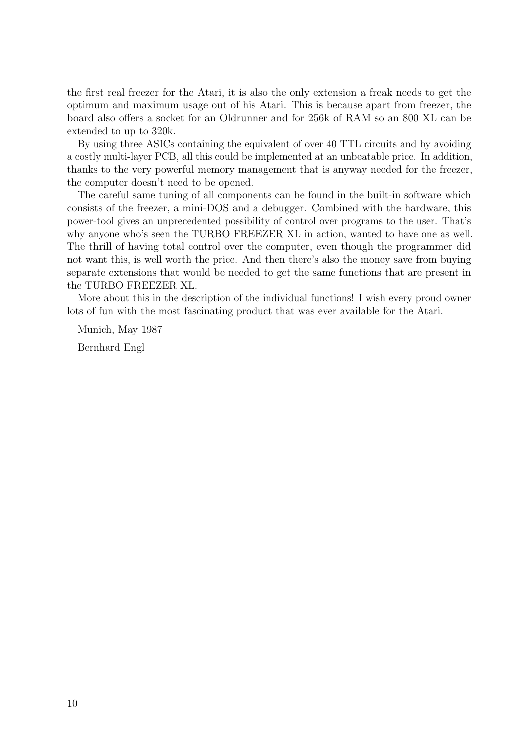the first real freezer for the Atari, it is also the only extension a freak needs to get the optimum and maximum usage out of his Atari. This is because apart from freezer, the board also offers a socket for an Oldrunner and for 256k of RAM so an 800 XL can be extended to up to 320k.

By using three ASICs containing the equivalent of over 40 TTL circuits and by avoiding a costly multi-layer PCB, all this could be implemented at an unbeatable price. In addition, thanks to the very powerful memory management that is anyway needed for the freezer, the computer doesn't need to be opened.

The careful same tuning of all components can be found in the built-in software which consists of the freezer, a mini-DOS and a debugger. Combined with the hardware, this power-tool gives an unprecedented possibility of control over programs to the user. That's why anyone who's seen the TURBO FREEZER XL in action, wanted to have one as well. The thrill of having total control over the computer, even though the programmer did not want this, is well worth the price. And then there's also the money save from buying separate extensions that would be needed to get the same functions that are present in the TURBO FREEZER XL.

More about this in the description of the individual functions! I wish every proud owner lots of fun with the most fascinating product that was ever available for the Atari.

Munich, May 1987

Bernhard Engl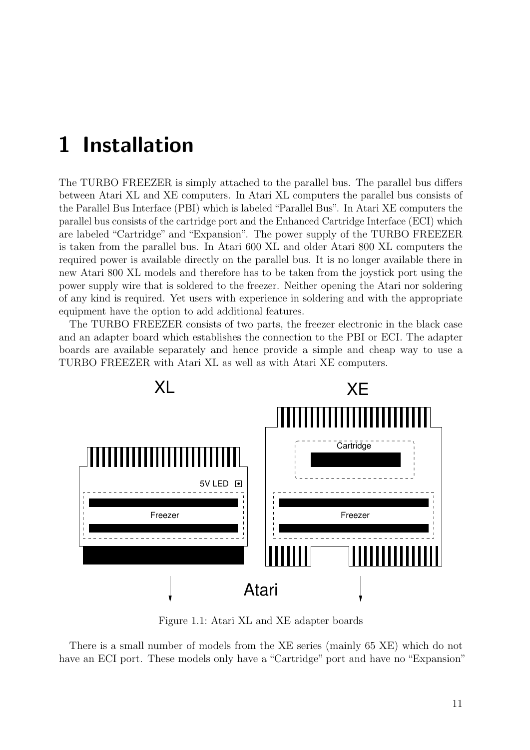# <span id="page-10-0"></span>1 Installation

The TURBO FREEZER is simply attached to the parallel bus. The parallel bus differs between Atari XL and XE computers. In Atari XL computers the parallel bus consists of the Parallel Bus Interface (PBI) which is labeled "Parallel Bus". In Atari XE computers the parallel bus consists of the cartridge port and the Enhanced Cartridge Interface (ECI) which are labeled "Cartridge" and "Expansion". The power supply of the TURBO FREEZER is taken from the parallel bus. In Atari 600 XL and older Atari 800 XL computers the required power is available directly on the parallel bus. It is no longer available there in new Atari 800 XL models and therefore has to be taken from the joystick port using the power supply wire that is soldered to the freezer. Neither opening the Atari nor soldering of any kind is required. Yet users with experience in soldering and with the appropriate equipment have the option to add additional features.

The TURBO FREEZER consists of two parts, the freezer electronic in the black case and an adapter board which establishes the connection to the PBI or ECI. The adapter boards are available separately and hence provide a simple and cheap way to use a TURBO FREEZER with Atari XL as well as with Atari XE computers.



Figure 1.1: Atari XL and XE adapter boards

There is a small number of models from the XE series (mainly 65 XE) which do not have an ECI port. These models only have a "Cartridge" port and have no "Expansion"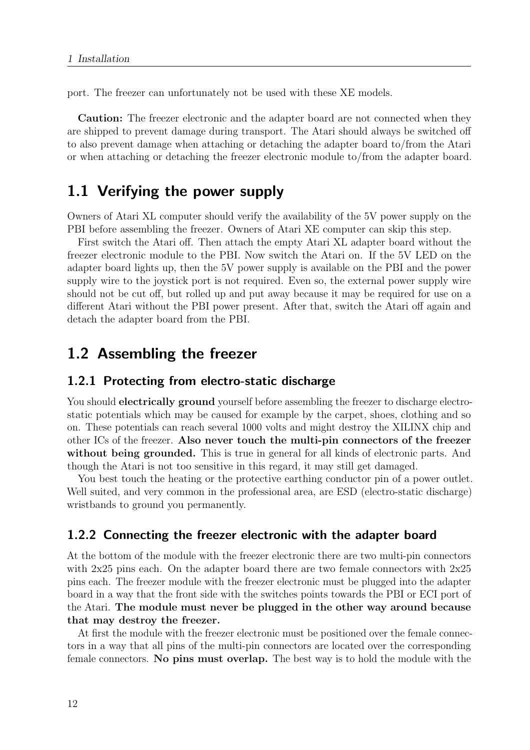port. The freezer can unfortunately not be used with these XE models.

Caution: The freezer electronic and the adapter board are not connected when they are shipped to prevent damage during transport. The Atari should always be switched off to also prevent damage when attaching or detaching the adapter board to/from the Atari or when attaching or detaching the freezer electronic module to/from the adapter board.

# <span id="page-11-0"></span>1.1 Verifying the power supply

Owners of Atari XL computer should verify the availability of the 5V power supply on the PBI before assembling the freezer. Owners of Atari XE computer can skip this step.

First switch the Atari off. Then attach the empty Atari XL adapter board without the freezer electronic module to the PBI. Now switch the Atari on. If the 5V LED on the adapter board lights up, then the 5V power supply is available on the PBI and the power supply wire to the joystick port is not required. Even so, the external power supply wire should not be cut off, but rolled up and put away because it may be required for use on a different Atari without the PBI power present. After that, switch the Atari off again and detach the adapter board from the PBI.

## <span id="page-11-1"></span>1.2 Assembling the freezer

#### <span id="page-11-2"></span>1.2.1 Protecting from electro-static discharge

You should **electrically ground** yourself before assembling the freezer to discharge electrostatic potentials which may be caused for example by the carpet, shoes, clothing and so on. These potentials can reach several 1000 volts and might destroy the XILINX chip and other ICs of the freezer. Also never touch the multi-pin connectors of the freezer without being grounded. This is true in general for all kinds of electronic parts. And though the Atari is not too sensitive in this regard, it may still get damaged.

You best touch the heating or the protective earthing conductor pin of a power outlet. Well suited, and very common in the professional area, are ESD (electro-static discharge) wristbands to ground you permanently.

#### <span id="page-11-3"></span>1.2.2 Connecting the freezer electronic with the adapter board

At the bottom of the module with the freezer electronic there are two multi-pin connectors with 2x25 pins each. On the adapter board there are two female connectors with  $2x25$ pins each. The freezer module with the freezer electronic must be plugged into the adapter board in a way that the front side with the switches points towards the PBI or ECI port of the Atari. The module must never be plugged in the other way around because that may destroy the freezer.

At first the module with the freezer electronic must be positioned over the female connectors in a way that all pins of the multi-pin connectors are located over the corresponding female connectors. No pins must overlap. The best way is to hold the module with the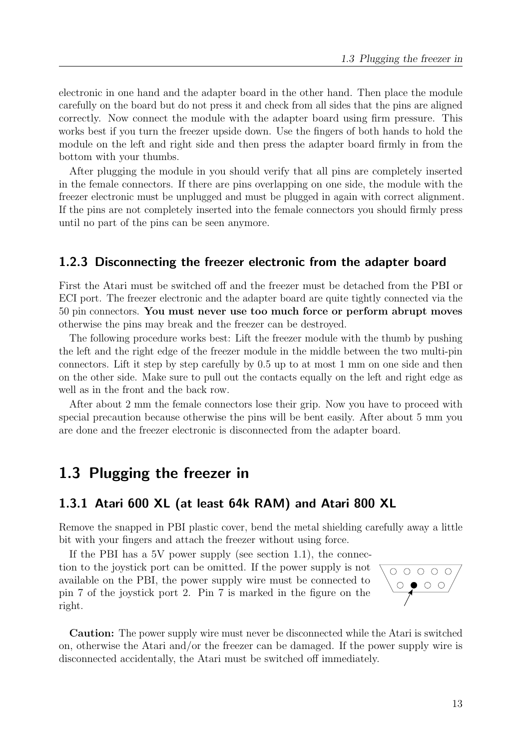electronic in one hand and the adapter board in the other hand. Then place the module carefully on the board but do not press it and check from all sides that the pins are aligned correctly. Now connect the module with the adapter board using firm pressure. This works best if you turn the freezer upside down. Use the fingers of both hands to hold the module on the left and right side and then press the adapter board firmly in from the bottom with your thumbs.

After plugging the module in you should verify that all pins are completely inserted in the female connectors. If there are pins overlapping on one side, the module with the freezer electronic must be unplugged and must be plugged in again with correct alignment. If the pins are not completely inserted into the female connectors you should firmly press until no part of the pins can be seen anymore.

#### <span id="page-12-0"></span>1.2.3 Disconnecting the freezer electronic from the adapter board

First the Atari must be switched off and the freezer must be detached from the PBI or ECI port. The freezer electronic and the adapter board are quite tightly connected via the 50 pin connectors. You must never use too much force or perform abrupt moves otherwise the pins may break and the freezer can be destroyed.

The following procedure works best: Lift the freezer module with the thumb by pushing the left and the right edge of the freezer module in the middle between the two multi-pin connectors. Lift it step by step carefully by 0.5 up to at most 1 mm on one side and then on the other side. Make sure to pull out the contacts equally on the left and right edge as well as in the front and the back row.

After about 2 mm the female connectors lose their grip. Now you have to proceed with special precaution because otherwise the pins will be bent easily. After about 5 mm you are done and the freezer electronic is disconnected from the adapter board.

# <span id="page-12-1"></span>1.3 Plugging the freezer in

#### <span id="page-12-2"></span>1.3.1 Atari 600 XL (at least 64k RAM) and Atari 800 XL

Remove the snapped in PBI plastic cover, bend the metal shielding carefully away a little bit with your fingers and attach the freezer without using force.

If the PBI has a 5V power supply (see section [1.1\)](#page-11-0), the connection to the joystick port can be omitted. If the power supply is not available on the PBI, the power supply wire must be connected to pin 7 of the joystick port 2. Pin 7 is marked in the figure on the right.



Caution: The power supply wire must never be disconnected while the Atari is switched on, otherwise the Atari and/or the freezer can be damaged. If the power supply wire is disconnected accidentally, the Atari must be switched off immediately.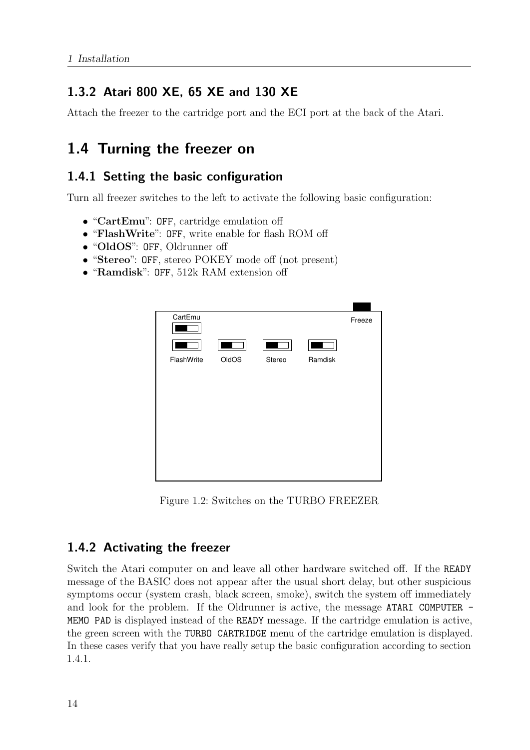# <span id="page-13-0"></span>1.3.2 Atari 800 XE, 65 XE and 130 XE

Attach the freezer to the cartridge port and the ECI port at the back of the Atari.

# <span id="page-13-1"></span>1.4 Turning the freezer on

### <span id="page-13-2"></span>1.4.1 Setting the basic configuration

Turn all freezer switches to the left to activate the following basic configuration:

- "CartEmu": OFF, cartridge emulation off
- "FlashWrite": OFF, write enable for flash ROM off
- "OldOS": OFF, Oldrunner off
- "Stereo": OFF, stereo POKEY mode off (not present)
- "Ramdisk": OFF, 512k RAM extension off



Figure 1.2: Switches on the TURBO FREEZER

#### <span id="page-13-3"></span>1.4.2 Activating the freezer

Switch the Atari computer on and leave all other hardware switched off. If the READY message of the BASIC does not appear after the usual short delay, but other suspicious symptoms occur (system crash, black screen, smoke), switch the system off immediately and look for the problem. If the Oldrunner is active, the message ATARI COMPUTER - MEMO PAD is displayed instead of the READY message. If the cartridge emulation is active, the green screen with the TURBO CARTRIDGE menu of the cartridge emulation is displayed. In these cases verify that you have really setup the basic configuration according to section [1.4.1.](#page-13-2)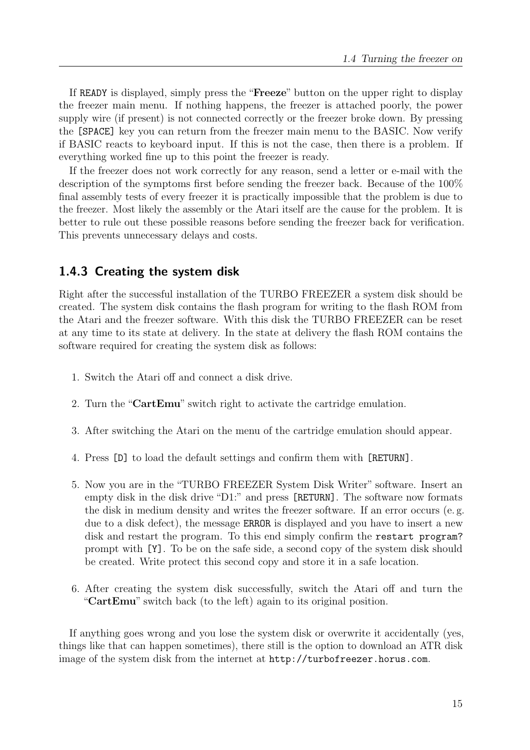If READY is displayed, simply press the "Freeze" button on the upper right to display the freezer main menu. If nothing happens, the freezer is attached poorly, the power supply wire (if present) is not connected correctly or the freezer broke down. By pressing the [SPACE] key you can return from the freezer main menu to the BASIC. Now verify if BASIC reacts to keyboard input. If this is not the case, then there is a problem. If everything worked fine up to this point the freezer is ready.

If the freezer does not work correctly for any reason, send a letter or e-mail with the description of the symptoms first before sending the freezer back. Because of the 100% final assembly tests of every freezer it is practically impossible that the problem is due to the freezer. Most likely the assembly or the Atari itself are the cause for the problem. It is better to rule out these possible reasons before sending the freezer back for verification. This prevents unnecessary delays and costs.

#### <span id="page-14-0"></span>1.4.3 Creating the system disk

Right after the successful installation of the TURBO FREEZER a system disk should be created. The system disk contains the flash program for writing to the flash ROM from the Atari and the freezer software. With this disk the TURBO FREEZER can be reset at any time to its state at delivery. In the state at delivery the flash ROM contains the software required for creating the system disk as follows:

- 1. Switch the Atari off and connect a disk drive.
- 2. Turn the "CartEmu" switch right to activate the cartridge emulation.
- 3. After switching the Atari on the menu of the cartridge emulation should appear.
- 4. Press [D] to load the default settings and confirm them with [RETURN].
- 5. Now you are in the "TURBO FREEZER System Disk Writer" software. Insert an empty disk in the disk drive "D1:" and press [RETURN]. The software now formats the disk in medium density and writes the freezer software. If an error occurs (e. g. due to a disk defect), the message ERROR is displayed and you have to insert a new disk and restart the program. To this end simply confirm the restart program? prompt with [Y]. To be on the safe side, a second copy of the system disk should be created. Write protect this second copy and store it in a safe location.
- 6. After creating the system disk successfully, switch the Atari off and turn the "CartEmu" switch back (to the left) again to its original position.

If anything goes wrong and you lose the system disk or overwrite it accidentally (yes, things like that can happen sometimes), there still is the option to download an ATR disk image of the system disk from the internet at <http://turbofreezer.horus.com>.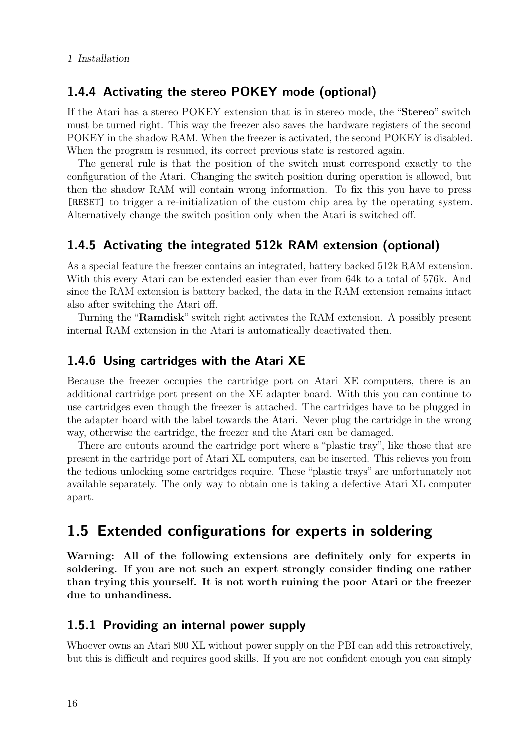#### <span id="page-15-0"></span>1.4.4 Activating the stereo POKEY mode (optional)

If the Atari has a stereo POKEY extension that is in stereo mode, the "Stereo" switch must be turned right. This way the freezer also saves the hardware registers of the second POKEY in the shadow RAM. When the freezer is activated, the second POKEY is disabled. When the program is resumed, its correct previous state is restored again.

The general rule is that the position of the switch must correspond exactly to the configuration of the Atari. Changing the switch position during operation is allowed, but then the shadow RAM will contain wrong information. To fix this you have to press [RESET] to trigger a re-initialization of the custom chip area by the operating system. Alternatively change the switch position only when the Atari is switched off.

### <span id="page-15-1"></span>1.4.5 Activating the integrated 512k RAM extension (optional)

As a special feature the freezer contains an integrated, battery backed 512k RAM extension. With this every Atari can be extended easier than ever from 64k to a total of 576k. And since the RAM extension is battery backed, the data in the RAM extension remains intact also after switching the Atari off.

Turning the "Ramdisk" switch right activates the RAM extension. A possibly present internal RAM extension in the Atari is automatically deactivated then.

#### <span id="page-15-2"></span>1.4.6 Using cartridges with the Atari XE

Because the freezer occupies the cartridge port on Atari XE computers, there is an additional cartridge port present on the XE adapter board. With this you can continue to use cartridges even though the freezer is attached. The cartridges have to be plugged in the adapter board with the label towards the Atari. Never plug the cartridge in the wrong way, otherwise the cartridge, the freezer and the Atari can be damaged.

There are cutouts around the cartridge port where a "plastic tray", like those that are present in the cartridge port of Atari XL computers, can be inserted. This relieves you from the tedious unlocking some cartridges require. These "plastic trays" are unfortunately not available separately. The only way to obtain one is taking a defective Atari XL computer apart.

# <span id="page-15-3"></span>1.5 Extended configurations for experts in soldering

Warning: All of the following extensions are definitely only for experts in soldering. If you are not such an expert strongly consider finding one rather than trying this yourself. It is not worth ruining the poor Atari or the freezer due to unhandiness.

#### <span id="page-15-4"></span>1.5.1 Providing an internal power supply

Whoever owns an Atari 800 XL without power supply on the PBI can add this retroactively, but this is difficult and requires good skills. If you are not confident enough you can simply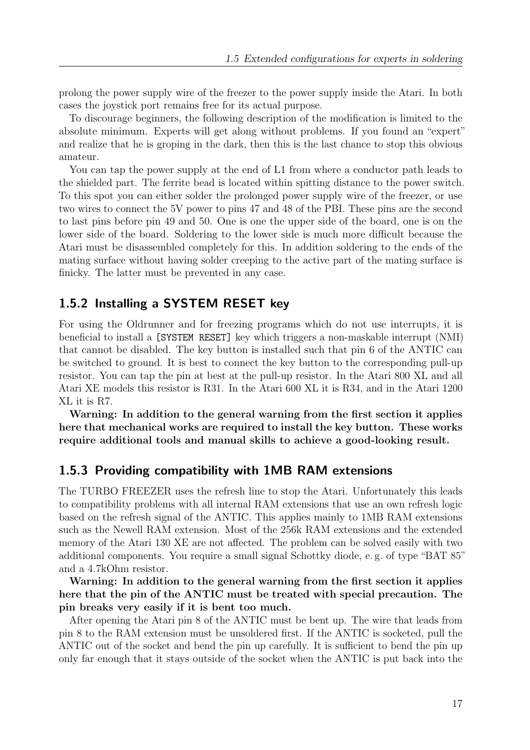prolong the power supply wire of the freezer to the power supply inside the Atari. In both cases the joystick port remains free for its actual purpose.

To discourage beginners, the following description of the modification is limited to the absolute minimum. Experts will get along without problems. If you found an "expert" and realize that he is groping in the dark, then this is the last chance to stop this obvious amateur.

You can tap the power supply at the end of L1 from where a conductor path leads to the shielded part. The ferrite bead is located within spitting distance to the power switch. To this spot you can either solder the prolonged power supply wire of the freezer, or use two wires to connect the 5V power to pins 47 and 48 of the PBI. These pins are the second to last pins before pin 49 and 50. One is one the upper side of the board, one is on the lower side of the board. Soldering to the lower side is much more difficult because the Atari must be disassembled completely for this. In addition soldering to the ends of the mating surface without having solder creeping to the active part of the mating surface is finicky. The latter must be prevented in any case.

#### <span id="page-16-0"></span>1.5.2 Installing a SYSTEM RESET key

For using the Oldrunner and for freezing programs which do not use interrupts, it is beneficial to install a [SYSTEM RESET] key which triggers a non-maskable interrupt (NMI) that cannot be disabled. The key button is installed such that pin 6 of the ANTIC can be switched to ground. It is best to connect the key button to the corresponding pull-up resistor. You can tap the pin at best at the pull-up resistor. In the Atari 800 XL and all Atari XE models this resistor is R31. In the Atari 600 XL it is R34, and in the Atari 1200 XL it is R7.

Warning: In addition to the general warning from the first section it applies here that mechanical works are required to install the key button. These works require additional tools and manual skills to achieve a good-looking result.

#### <span id="page-16-1"></span>1.5.3 Providing compatibility with 1MB RAM extensions

The TURBO FREEZER uses the refresh line to stop the Atari. Unfortunately this leads to compatibility problems with all internal RAM extensions that use an own refresh logic based on the refresh signal of the ANTIC. This applies mainly to 1MB RAM extensions such as the Newell RAM extension. Most of the 256k RAM extensions and the extended memory of the Atari 130 XE are not affected. The problem can be solved easily with two additional components. You require a small signal Schottky diode, e. g. of type "BAT 85" and a 4.7kOhm resistor.

Warning: In addition to the general warning from the first section it applies here that the pin of the ANTIC must be treated with special precaution. The pin breaks very easily if it is bent too much.

After opening the Atari pin 8 of the ANTIC must be bent up. The wire that leads from pin 8 to the RAM extension must be unsoldered first. If the ANTIC is socketed, pull the ANTIC out of the socket and bend the pin up carefully. It is sufficient to bend the pin up only far enough that it stays outside of the socket when the ANTIC is put back into the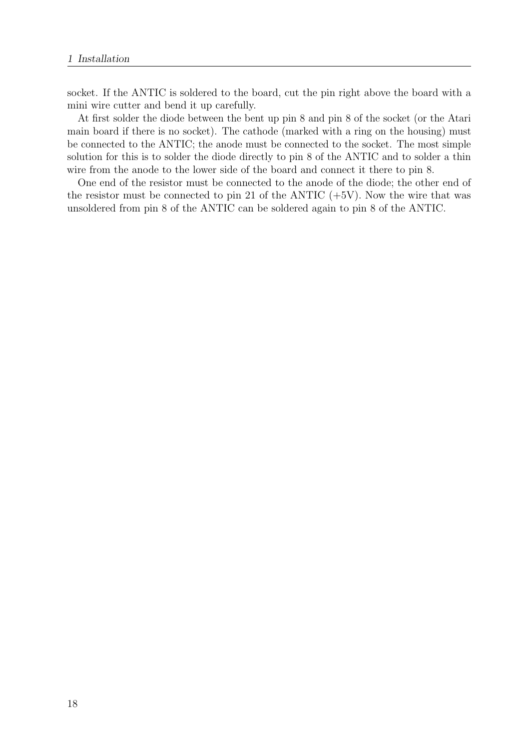socket. If the ANTIC is soldered to the board, cut the pin right above the board with a mini wire cutter and bend it up carefully.

At first solder the diode between the bent up pin 8 and pin 8 of the socket (or the Atari main board if there is no socket). The cathode (marked with a ring on the housing) must be connected to the ANTIC; the anode must be connected to the socket. The most simple solution for this is to solder the diode directly to pin 8 of the ANTIC and to solder a thin wire from the anode to the lower side of the board and connect it there to pin 8.

One end of the resistor must be connected to the anode of the diode; the other end of the resistor must be connected to pin 21 of the ANTIC  $(+5V)$ . Now the wire that was unsoldered from pin 8 of the ANTIC can be soldered again to pin 8 of the ANTIC.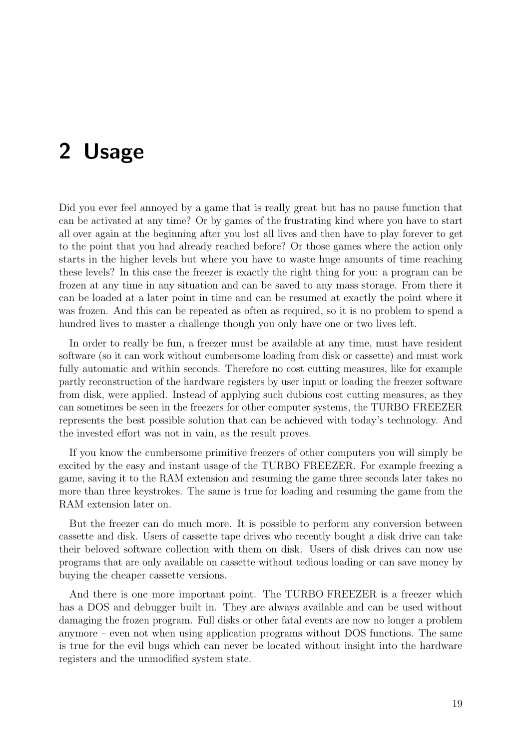# <span id="page-18-0"></span>2 Usage

Did you ever feel annoyed by a game that is really great but has no pause function that can be activated at any time? Or by games of the frustrating kind where you have to start all over again at the beginning after you lost all lives and then have to play forever to get to the point that you had already reached before? Or those games where the action only starts in the higher levels but where you have to waste huge amounts of time reaching these levels? In this case the freezer is exactly the right thing for you: a program can be frozen at any time in any situation and can be saved to any mass storage. From there it can be loaded at a later point in time and can be resumed at exactly the point where it was frozen. And this can be repeated as often as required, so it is no problem to spend a hundred lives to master a challenge though you only have one or two lives left.

In order to really be fun, a freezer must be available at any time, must have resident software (so it can work without cumbersome loading from disk or cassette) and must work fully automatic and within seconds. Therefore no cost cutting measures, like for example partly reconstruction of the hardware registers by user input or loading the freezer software from disk, were applied. Instead of applying such dubious cost cutting measures, as they can sometimes be seen in the freezers for other computer systems, the TURBO FREEZER represents the best possible solution that can be achieved with today's technology. And the invested effort was not in vain, as the result proves.

If you know the cumbersome primitive freezers of other computers you will simply be excited by the easy and instant usage of the TURBO FREEZER. For example freezing a game, saving it to the RAM extension and resuming the game three seconds later takes no more than three keystrokes. The same is true for loading and resuming the game from the RAM extension later on.

But the freezer can do much more. It is possible to perform any conversion between cassette and disk. Users of cassette tape drives who recently bought a disk drive can take their beloved software collection with them on disk. Users of disk drives can now use programs that are only available on cassette without tedious loading or can save money by buying the cheaper cassette versions.

And there is one more important point. The TURBO FREEZER is a freezer which has a DOS and debugger built in. They are always available and can be used without damaging the frozen program. Full disks or other fatal events are now no longer a problem anymore – even not when using application programs without DOS functions. The same is true for the evil bugs which can never be located without insight into the hardware registers and the unmodified system state.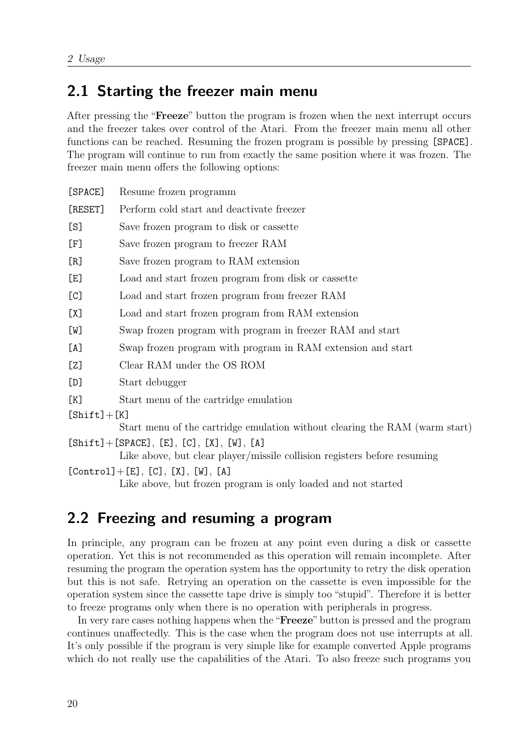# <span id="page-19-0"></span>2.1 Starting the freezer main menu

After pressing the "Freeze" button the program is frozen when the next interrupt occurs and the freezer takes over control of the Atari. From the freezer main menu all other functions can be reached. Resuming the frozen program is possible by pressing [SPACE]. The program will continue to run from exactly the same position where it was frozen. The freezer main menu offers the following options:

| [SPACE]         | Resume frozen programm                                                                                                   |
|-----------------|--------------------------------------------------------------------------------------------------------------------------|
| [RESET]         | Perform cold start and deactivate freezer                                                                                |
| [S]             | Save frozen program to disk or cassette                                                                                  |
| [F]             | Save frozen program to freezer RAM                                                                                       |
| [R]             | Save frozen program to RAM extension                                                                                     |
| [E]             | Load and start frozen program from disk or cassette                                                                      |
| [C]             | Load and start frozen program from freezer RAM                                                                           |
| [X]             | Load and start frozen program from RAM extension                                                                         |
| [W]             | Swap frozen program with program in freezer RAM and start                                                                |
| [A]             | Swap frozen program with program in RAM extension and start                                                              |
| [Z]             | Clear RAM under the OS ROM                                                                                               |
| [D]             | Start debugger                                                                                                           |
| [K]             | Start menu of the cartridge emulation                                                                                    |
| $[Shift] + [K]$ |                                                                                                                          |
|                 | Start menu of the cartridge emulation without clearing the RAM (warm start)                                              |
|                 | $[Shift] + [SPACE], [E], [C], [X], [W], [A]$<br>Like above, but clear player/missile collision registers before resuming |
|                 | $[Control] + [E], [C], [X], [W], [A]$                                                                                    |

Like above, but frozen program is only loaded and not started

# <span id="page-19-1"></span>2.2 Freezing and resuming a program

In principle, any program can be frozen at any point even during a disk or cassette operation. Yet this is not recommended as this operation will remain incomplete. After resuming the program the operation system has the opportunity to retry the disk operation but this is not safe. Retrying an operation on the cassette is even impossible for the operation system since the cassette tape drive is simply too "stupid". Therefore it is better to freeze programs only when there is no operation with peripherals in progress.

In very rare cases nothing happens when the "**Freeze**" button is pressed and the program continues unaffectedly. This is the case when the program does not use interrupts at all. It's only possible if the program is very simple like for example converted Apple programs which do not really use the capabilities of the Atari. To also freeze such programs you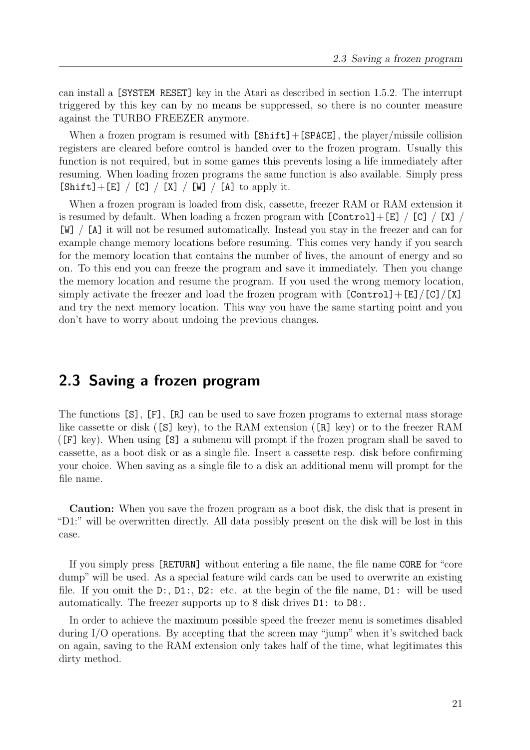can install a [SYSTEM RESET] key in the Atari as described in section [1.5.2.](#page-16-0) The interrupt triggered by this key can by no means be suppressed, so there is no counter measure against the TURBO FREEZER anymore.

When a frozen program is resumed with  $[Shift] + [SPACE]$ , the player/missile collision registers are cleared before control is handed over to the frozen program. Usually this function is not required, but in some games this prevents losing a life immediately after resuming. When loading frozen programs the same function is also available. Simply press  $[Shift] + [E] / [C] / [X] / [W] / [A]$  to apply it.

When a frozen program is loaded from disk, cassette, freezer RAM or RAM extension it is resumed by default. When loading a frozen program with  $[Control]+[E] / [C] / [X] /$ [W] / [A] it will not be resumed automatically. Instead you stay in the freezer and can for example change memory locations before resuming. This comes very handy if you search for the memory location that contains the number of lives, the amount of energy and so on. To this end you can freeze the program and save it immediately. Then you change the memory location and resume the program. If you used the wrong memory location, simply activate the freezer and load the frozen program with  $[Control] + [E]/[C]/[X]$ and try the next memory location. This way you have the same starting point and you don't have to worry about undoing the previous changes.

## <span id="page-20-0"></span>2.3 Saving a frozen program

The functions [S], [F], [R] can be used to save frozen programs to external mass storage like cassette or disk ([S] key), to the RAM extension ([R] key) or to the freezer RAM ([F] key). When using [S] a submenu will prompt if the frozen program shall be saved to cassette, as a boot disk or as a single file. Insert a cassette resp. disk before confirming your choice. When saving as a single file to a disk an additional menu will prompt for the file name.

Caution: When you save the frozen program as a boot disk, the disk that is present in "D1:" will be overwritten directly. All data possibly present on the disk will be lost in this case.

If you simply press [RETURN] without entering a file name, the file name CORE for "core dump" will be used. As a special feature wild cards can be used to overwrite an existing file. If you omit the  $D:$ ,  $D1:$ ,  $D2:$  etc. at the begin of the file name,  $D1:$  will be used automatically. The freezer supports up to 8 disk drives D1: to D8:.

In order to achieve the maximum possible speed the freezer menu is sometimes disabled during I/O operations. By accepting that the screen may "jump" when it's switched back on again, saving to the RAM extension only takes half of the time, what legitimates this dirty method.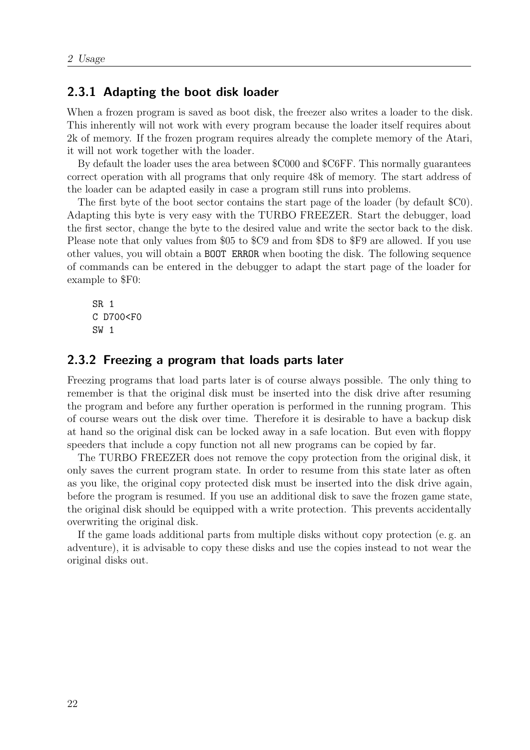#### <span id="page-21-0"></span>2.3.1 Adapting the boot disk loader

When a frozen program is saved as boot disk, the freezer also writes a loader to the disk. This inherently will not work with every program because the loader itself requires about 2k of memory. If the frozen program requires already the complete memory of the Atari, it will not work together with the loader.

By default the loader uses the area between \$C000 and \$C6FF. This normally guarantees correct operation with all programs that only require 48k of memory. The start address of the loader can be adapted easily in case a program still runs into problems.

The first byte of the boot sector contains the start page of the loader (by default \$C0). Adapting this byte is very easy with the TURBO FREEZER. Start the debugger, load the first sector, change the byte to the desired value and write the sector back to the disk. Please note that only values from \$05 to \$C9 and from \$D8 to \$F9 are allowed. If you use other values, you will obtain a BOOT ERROR when booting the disk. The following sequence of commands can be entered in the debugger to adapt the start page of the loader for example to \$F0:

SR 1 C D700<F0 SW 1

#### <span id="page-21-1"></span>2.3.2 Freezing a program that loads parts later

Freezing programs that load parts later is of course always possible. The only thing to remember is that the original disk must be inserted into the disk drive after resuming the program and before any further operation is performed in the running program. This of course wears out the disk over time. Therefore it is desirable to have a backup disk at hand so the original disk can be locked away in a safe location. But even with floppy speeders that include a copy function not all new programs can be copied by far.

The TURBO FREEZER does not remove the copy protection from the original disk, it only saves the current program state. In order to resume from this state later as often as you like, the original copy protected disk must be inserted into the disk drive again, before the program is resumed. If you use an additional disk to save the frozen game state, the original disk should be equipped with a write protection. This prevents accidentally overwriting the original disk.

If the game loads additional parts from multiple disks without copy protection (e. g. an adventure), it is advisable to copy these disks and use the copies instead to not wear the original disks out.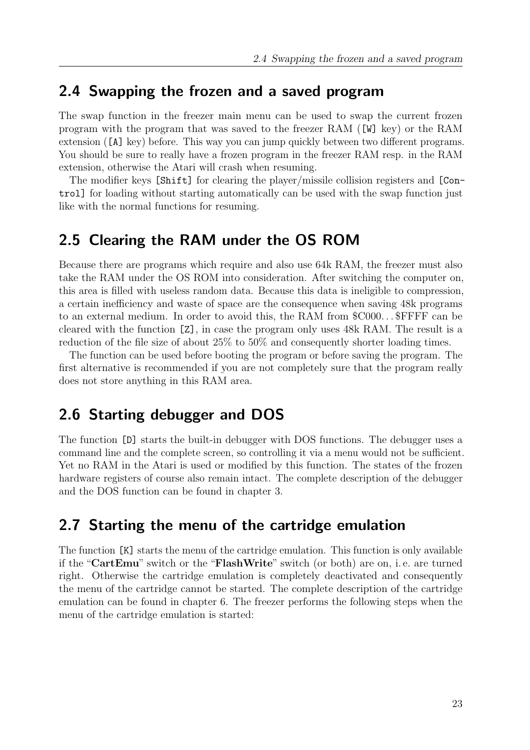### <span id="page-22-0"></span>2.4 Swapping the frozen and a saved program

The swap function in the freezer main menu can be used to swap the current frozen program with the program that was saved to the freezer RAM ([W] key) or the RAM extension ([A] key) before. This way you can jump quickly between two different programs. You should be sure to really have a frozen program in the freezer RAM resp. in the RAM extension, otherwise the Atari will crash when resuming.

The modifier keys [Shift] for clearing the player/missile collision registers and [Control] for loading without starting automatically can be used with the swap function just like with the normal functions for resuming.

### <span id="page-22-1"></span>2.5 Clearing the RAM under the OS ROM

Because there are programs which require and also use 64k RAM, the freezer must also take the RAM under the OS ROM into consideration. After switching the computer on, this area is filled with useless random data. Because this data is ineligible to compression, a certain inefficiency and waste of space are the consequence when saving 48k programs to an external medium. In order to avoid this, the RAM from \$C000. . . \$FFFF can be cleared with the function [Z], in case the program only uses 48k RAM. The result is a reduction of the file size of about 25% to 50% and consequently shorter loading times.

The function can be used before booting the program or before saving the program. The first alternative is recommended if you are not completely sure that the program really does not store anything in this RAM area.

# <span id="page-22-2"></span>2.6 Starting debugger and DOS

The function [D] starts the built-in debugger with DOS functions. The debugger uses a command line and the complete screen, so controlling it via a menu would not be sufficient. Yet no RAM in the Atari is used or modified by this function. The states of the frozen hardware registers of course also remain intact. The complete description of the debugger and the DOS function can be found in chapter [3.](#page-24-0)

## <span id="page-22-3"></span>2.7 Starting the menu of the cartridge emulation

The function [K] starts the menu of the cartridge emulation. This function is only available if the "CartEmu" switch or the "FlashWrite" switch (or both) are on, i. e. are turned right. Otherwise the cartridge emulation is completely deactivated and consequently the menu of the cartridge cannot be started. The complete description of the cartridge emulation can be found in chapter [6.](#page-40-0) The freezer performs the following steps when the menu of the cartridge emulation is started: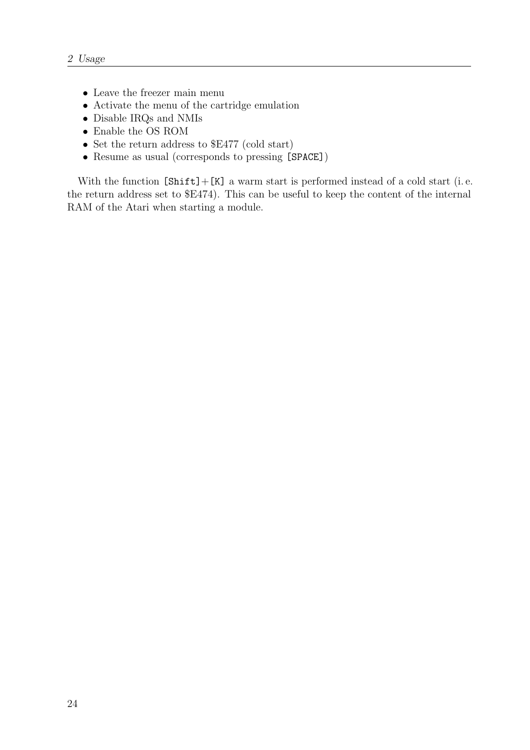- Leave the freezer main menu
- Activate the menu of the cartridge emulation
- Disable IRQs and NMIs
- Enable the OS ROM
- Set the return address to \$E477 (cold start)
- Resume as usual (corresponds to pressing [SPACE])

With the function  $[Shift] + [K]$  a warm start is performed instead of a cold start (i.e. the return address set to \$E474). This can be useful to keep the content of the internal RAM of the Atari when starting a module.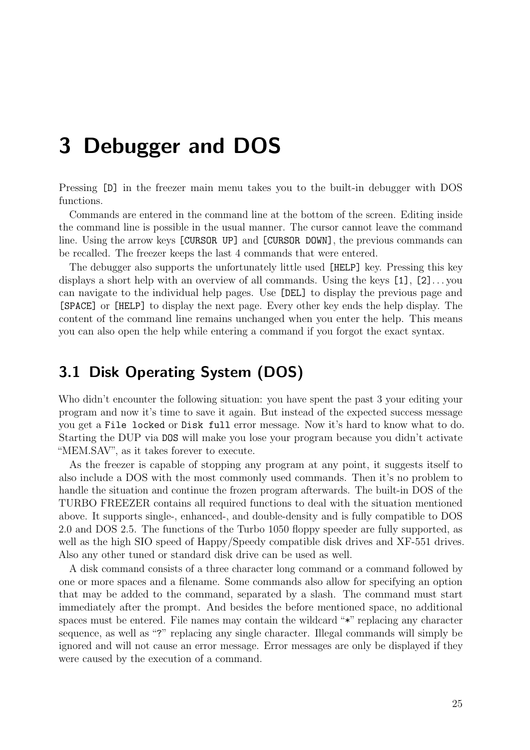# <span id="page-24-0"></span>3 Debugger and DOS

Pressing [D] in the freezer main menu takes you to the built-in debugger with DOS functions.

Commands are entered in the command line at the bottom of the screen. Editing inside the command line is possible in the usual manner. The cursor cannot leave the command line. Using the arrow keys [CURSOR UP] and [CURSOR DOWN], the previous commands can be recalled. The freezer keeps the last 4 commands that were entered.

The debugger also supports the unfortunately little used [HELP] key. Pressing this key displays a short help with an overview of all commands. Using the keys [1], [2]. . . you can navigate to the individual help pages. Use [DEL] to display the previous page and [SPACE] or [HELP] to display the next page. Every other key ends the help display. The content of the command line remains unchanged when you enter the help. This means you can also open the help while entering a command if you forgot the exact syntax.

# <span id="page-24-1"></span>3.1 Disk Operating System (DOS)

Who didn't encounter the following situation: you have spent the past 3 your editing your program and now it's time to save it again. But instead of the expected success message you get a File locked or Disk full error message. Now it's hard to know what to do. Starting the DUP via DOS will make you lose your program because you didn't activate "MEM.SAV", as it takes forever to execute.

As the freezer is capable of stopping any program at any point, it suggests itself to also include a DOS with the most commonly used commands. Then it's no problem to handle the situation and continue the frozen program afterwards. The built-in DOS of the TURBO FREEZER contains all required functions to deal with the situation mentioned above. It supports single-, enhanced-, and double-density and is fully compatible to DOS 2.0 and DOS 2.5. The functions of the Turbo 1050 floppy speeder are fully supported, as well as the high SIO speed of Happy/Speedy compatible disk drives and XF-551 drives. Also any other tuned or standard disk drive can be used as well.

A disk command consists of a three character long command or a command followed by one or more spaces and a filename. Some commands also allow for specifying an option that may be added to the command, separated by a slash. The command must start immediately after the prompt. And besides the before mentioned space, no additional spaces must be entered. File names may contain the wildcard "\*" replacing any character sequence, as well as "?" replacing any single character. Illegal commands will simply be ignored and will not cause an error message. Error messages are only be displayed if they were caused by the execution of a command.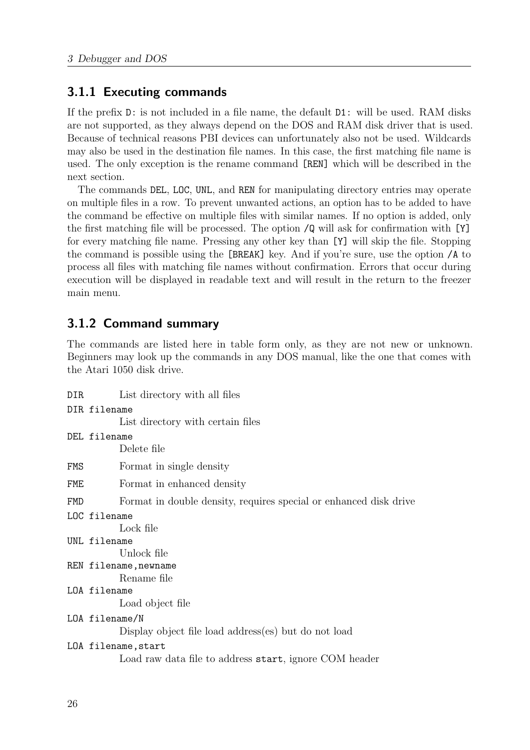#### <span id="page-25-0"></span>3.1.1 Executing commands

If the prefix D: is not included in a file name, the default D1: will be used. RAM disks are not supported, as they always depend on the DOS and RAM disk driver that is used. Because of technical reasons PBI devices can unfortunately also not be used. Wildcards may also be used in the destination file names. In this case, the first matching file name is used. The only exception is the rename command [REN] which will be described in the next section.

The commands DEL, LOC, UNL, and REN for manipulating directory entries may operate on multiple files in a row. To prevent unwanted actions, an option has to be added to have the command be effective on multiple files with similar names. If no option is added, only the first matching file will be processed. The option /Q will ask for confirmation with [Y] for every matching file name. Pressing any other key than [Y] will skip the file. Stopping the command is possible using the [BREAK] key. And if you're sure, use the option /A to process all files with matching file names without confirmation. Errors that occur during execution will be displayed in readable text and will result in the return to the freezer main menu.

### <span id="page-25-1"></span>3.1.2 Command summary

The commands are listed here in table form only, as they are not new or unknown. Beginners may look up the commands in any DOS manual, like the one that comes with the Atari 1050 disk drive.

| DIR | List directory with all files                                     |
|-----|-------------------------------------------------------------------|
|     | DIR filename                                                      |
|     | List directory with certain files                                 |
|     | DEL filename                                                      |
|     | Delete file                                                       |
| FMS | Format in single density                                          |
| FME | Format in enhanced density                                        |
| FMD | Format in double density, requires special or enhanced disk drive |
|     | LOC filename                                                      |
|     | Lock file                                                         |
|     | UNL filename                                                      |
|     | Unlock file                                                       |
|     | REN filename, newname                                             |
|     | Rename file                                                       |
|     | LOA filename                                                      |
|     | Load object file                                                  |
|     | LOA filename/N                                                    |
|     | Display object file load address(es) but do not load              |
|     | LOA filename, start                                               |
|     | Load raw data file to address start, ignore COM header            |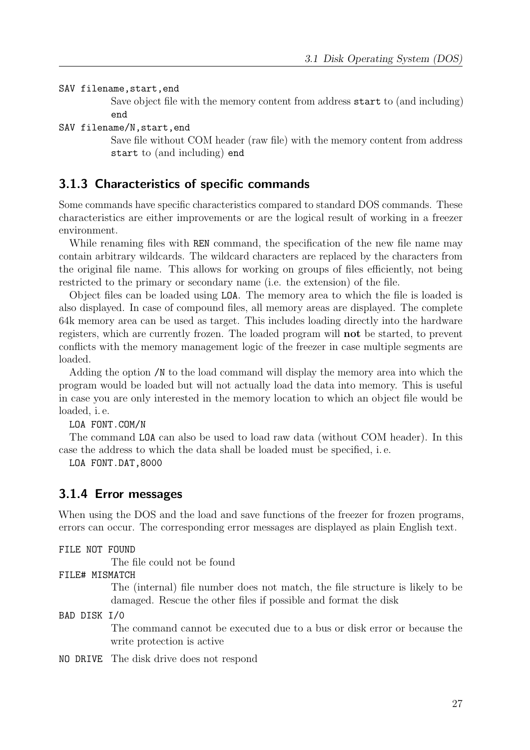SAV filename, start, end

Save object file with the memory content from address start to (and including) end

SAV filename/N,start,end

Save file without COM header (raw file) with the memory content from address start to (and including) end

#### <span id="page-26-0"></span>3.1.3 Characteristics of specific commands

Some commands have specific characteristics compared to standard DOS commands. These characteristics are either improvements or are the logical result of working in a freezer environment.

While renaming files with REN command, the specification of the new file name may contain arbitrary wildcards. The wildcard characters are replaced by the characters from the original file name. This allows for working on groups of files efficiently, not being restricted to the primary or secondary name (i.e. the extension) of the file.

Object files can be loaded using LOA. The memory area to which the file is loaded is also displayed. In case of compound files, all memory areas are displayed. The complete 64k memory area can be used as target. This includes loading directly into the hardware registers, which are currently frozen. The loaded program will not be started, to prevent conflicts with the memory management logic of the freezer in case multiple segments are loaded.

Adding the option /N to the load command will display the memory area into which the program would be loaded but will not actually load the data into memory. This is useful in case you are only interested in the memory location to which an object file would be loaded, i. e.

LOA FONT.COM/N

The command LOA can also be used to load raw data (without COM header). In this case the address to which the data shall be loaded must be specified, i. e.

LOA FONT.DAT,8000

#### <span id="page-26-1"></span>3.1.4 Error messages

When using the DOS and the load and save functions of the freezer for frozen programs, errors can occur. The corresponding error messages are displayed as plain English text.

FILE NOT FOUND

The file could not be found

FILE# MISMATCH

The (internal) file number does not match, the file structure is likely to be damaged. Rescue the other files if possible and format the disk

BAD DISK I/0

The command cannot be executed due to a bus or disk error or because the write protection is active

NO DRIVE The disk drive does not respond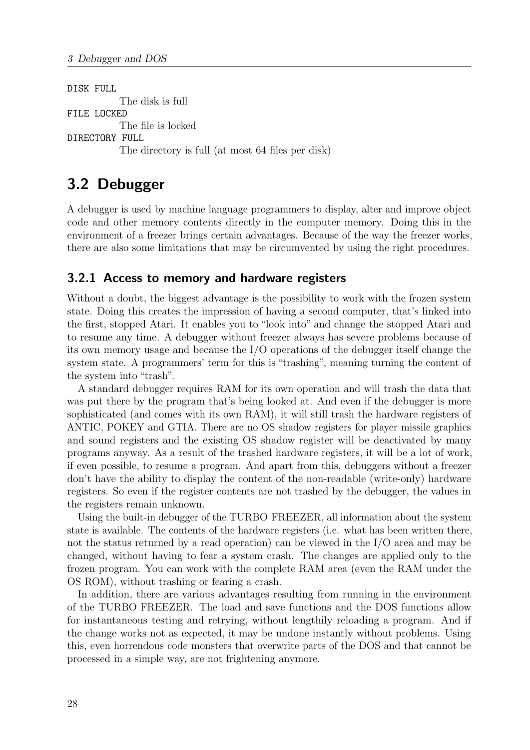DISK FULL The disk is full FILE LOCKED The file is locked DIRECTORY FULL The directory is full (at most 64 files per disk)

# <span id="page-27-0"></span>3.2 Debugger

A debugger is used by machine language programmers to display, alter and improve object code and other memory contents directly in the computer memory. Doing this in the environment of a freezer brings certain advantages. Because of the way the freezer works, there are also some limitations that may be circumvented by using the right procedures.

#### <span id="page-27-1"></span>3.2.1 Access to memory and hardware registers

Without a doubt, the biggest advantage is the possibility to work with the frozen system state. Doing this creates the impression of having a second computer, that's linked into the first, stopped Atari. It enables you to "look into" and change the stopped Atari and to resume any time. A debugger without freezer always has severe problems because of its own memory usage and because the I/O operations of the debugger itself change the system state. A programmers' term for this is "trashing", meaning turning the content of the system into "trash".

A standard debugger requires RAM for its own operation and will trash the data that was put there by the program that's being looked at. And even if the debugger is more sophisticated (and comes with its own RAM), it will still trash the hardware registers of ANTIC, POKEY and GTIA. There are no OS shadow registers for player missile graphics and sound registers and the existing OS shadow register will be deactivated by many programs anyway. As a result of the trashed hardware registers, it will be a lot of work, if even possible, to resume a program. And apart from this, debuggers without a freezer don't have the ability to display the content of the non-readable (write-only) hardware registers. So even if the register contents are not trashed by the debugger, the values in the registers remain unknown.

Using the built-in debugger of the TURBO FREEZER, all information about the system state is available. The contents of the hardware registers (i.e. what has been written there, not the status returned by a read operation) can be viewed in the I/O area and may be changed, without having to fear a system crash. The changes are applied only to the frozen program. You can work with the complete RAM area (even the RAM under the OS ROM), without trashing or fearing a crash.

In addition, there are various advantages resulting from running in the environment of the TURBO FREEZER. The load and save functions and the DOS functions allow for instantaneous testing and retrying, without lengthily reloading a program. And if the change works not as expected, it may be undone instantly without problems. Using this, even horrendous code monsters that overwrite parts of the DOS and that cannot be processed in a simple way, are not frightening anymore.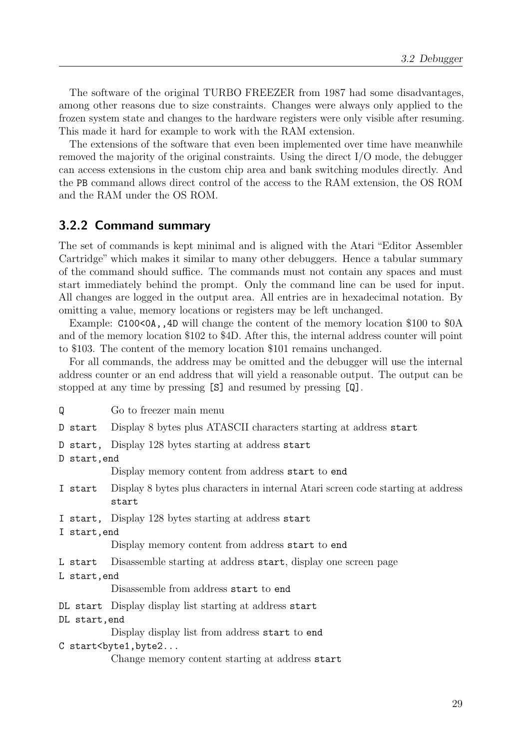The software of the original TURBO FREEZER from 1987 had some disadvantages, among other reasons due to size constraints. Changes were always only applied to the frozen system state and changes to the hardware registers were only visible after resuming. This made it hard for example to work with the RAM extension.

The extensions of the software that even been implemented over time have meanwhile removed the majority of the original constraints. Using the direct I/O mode, the debugger can access extensions in the custom chip area and bank switching modules directly. And the PB command allows direct control of the access to the RAM extension, the OS ROM and the RAM under the OS ROM.

#### <span id="page-28-0"></span>3.2.2 Command summary

The set of commands is kept minimal and is aligned with the Atari "Editor Assembler Cartridge" which makes it similar to many other debuggers. Hence a tabular summary of the command should suffice. The commands must not contain any spaces and must start immediately behind the prompt. Only the command line can be used for input. All changes are logged in the output area. All entries are in hexadecimal notation. By omitting a value, memory locations or registers may be left unchanged.

Example: C100<0A, 4D will change the content of the memory location \$100 to \$0A and of the memory location \$102 to \$4D. After this, the internal address counter will point to \$103. The content of the memory location \$101 remains unchanged.

For all commands, the address may be omitted and the debugger will use the internal address counter or an end address that will yield a reasonable output. The output can be stopped at any time by pressing [S] and resumed by pressing [Q].

Q Go to freezer main menu D start Display 8 bytes plus ATASCII characters starting at address start D start, Display 128 bytes starting at address start D start,end Display memory content from address start to end I start Display 8 bytes plus characters in internal Atari screen code starting at address start I start, Display 128 bytes starting at address start I start,end Display memory content from address start to end L start Disassemble starting at address start, display one screen page L start,end Disassemble from address start to end DL start Display display list starting at address start DL start,end Display display list from address start to end C start<br/>byte1,byte2... Change memory content starting at address start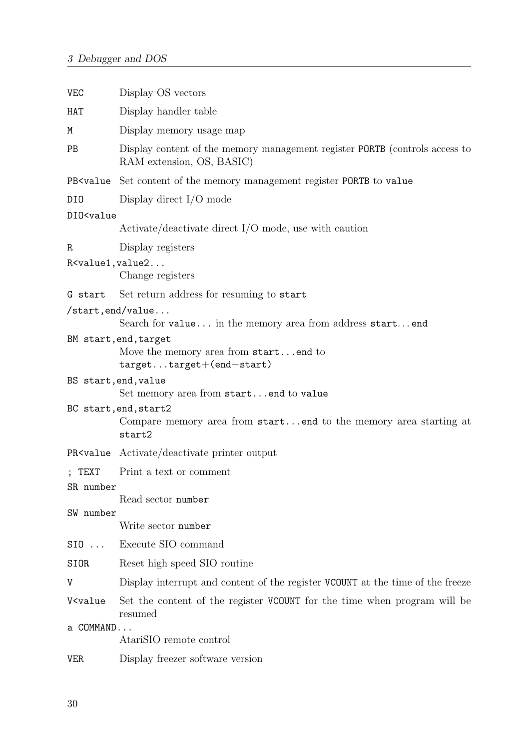| <b>VEC</b>                                                                                                             | Display OS vectors                                                                                       |  |  |  |  |  |
|------------------------------------------------------------------------------------------------------------------------|----------------------------------------------------------------------------------------------------------|--|--|--|--|--|
| HAT                                                                                                                    | Display handler table                                                                                    |  |  |  |  |  |
| M                                                                                                                      | Display memory usage map                                                                                 |  |  |  |  |  |
| PB                                                                                                                     | Display content of the memory management register PORTB (controls access to<br>RAM extension, OS, BASIC) |  |  |  |  |  |
| PB <value< td=""><td>Set content of the memory management register PORTB to value</td></value<>                        | Set content of the memory management register PORTB to value                                             |  |  |  |  |  |
| DI0                                                                                                                    | Display direct $I/O$ mode                                                                                |  |  |  |  |  |
| DI0 <value< td=""><td></td></value<>                                                                                   |                                                                                                          |  |  |  |  |  |
|                                                                                                                        | $\text{Active}/\text{deactive}$ direct I/O mode, use with caution                                        |  |  |  |  |  |
| R                                                                                                                      | Display registers                                                                                        |  |  |  |  |  |
| $R$ <value1, td="" value2<=""><td>Change registers</td></value1,>                                                      | Change registers                                                                                         |  |  |  |  |  |
| G start                                                                                                                | Set return address for resuming to start                                                                 |  |  |  |  |  |
|                                                                                                                        | $\sqrt{\text{start}, \text{end}/\text{value}} \dots$                                                     |  |  |  |  |  |
|                                                                                                                        | Search for value in the memory area from address start end                                               |  |  |  |  |  |
|                                                                                                                        | BM start, end, target<br>Move the memory area from startend to<br>targettarget+(end-start)               |  |  |  |  |  |
| BS start, end, value                                                                                                   | Set memory area from startend to value                                                                   |  |  |  |  |  |
|                                                                                                                        | BC start, end, start2<br>Compare memory area from startend to the memory area starting at<br>start2      |  |  |  |  |  |
| PR <value< td=""><td>Activate/deactivate printer output</td></value<>                                                  | Activate/deactivate printer output                                                                       |  |  |  |  |  |
| ; TEXT<br>SR number                                                                                                    | Print a text or comment                                                                                  |  |  |  |  |  |
|                                                                                                                        | Read sector number                                                                                       |  |  |  |  |  |
| SW number                                                                                                              |                                                                                                          |  |  |  |  |  |
|                                                                                                                        | Write sector number                                                                                      |  |  |  |  |  |
| $SIO$                                                                                                                  | Execute SIO command                                                                                      |  |  |  |  |  |
| SIOR                                                                                                                   | Reset high speed SIO routine                                                                             |  |  |  |  |  |
| V                                                                                                                      | Display interrupt and content of the register VCOUNT at the time of the freeze                           |  |  |  |  |  |
| V <value< td=""><td>Set the content of the register VCOUNT for the time when program will be<br/>resumed</td></value<> | Set the content of the register VCOUNT for the time when program will be<br>resumed                      |  |  |  |  |  |
| a COMMAND                                                                                                              |                                                                                                          |  |  |  |  |  |
|                                                                                                                        | AtariSIO remote control                                                                                  |  |  |  |  |  |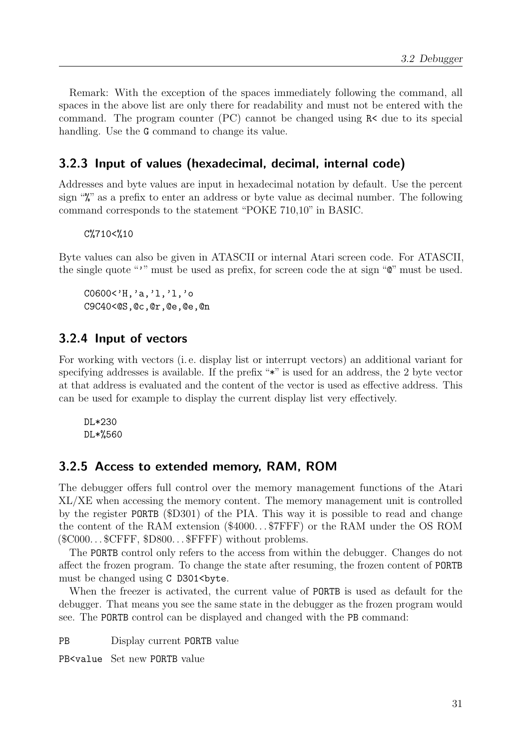Remark: With the exception of the spaces immediately following the command, all spaces in the above list are only there for readability and must not be entered with the command. The program counter (PC) cannot be changed using R< due to its special handling. Use the G command to change its value.

### <span id="page-30-0"></span>3.2.3 Input of values (hexadecimal, decimal, internal code)

Addresses and byte values are input in hexadecimal notation by default. Use the percent sign "%" as a prefix to enter an address or byte value as decimal number. The following command corresponds to the statement "POKE 710,10" in BASIC.

C%710<%10

Byte values can also be given in ATASCII or internal Atari screen code. For ATASCII, the single quote "'" must be used as prefix, for screen code the at sign " $\mathbb{Q}$ " must be used.

C0600<'H,'a,'l,'l,'o C9C40<@S,@c,@r,@e,@e,@n

#### <span id="page-30-1"></span>3.2.4 Input of vectors

For working with vectors (i. e. display list or interrupt vectors) an additional variant for specifying addresses is available. If the prefix "\*" is used for an address, the 2 byte vector at that address is evaluated and the content of the vector is used as effective address. This can be used for example to display the current display list very effectively.

DL\*230 DL\*%560

#### <span id="page-30-2"></span>3.2.5 Access to extended memory, RAM, ROM

The debugger offers full control over the memory management functions of the Atari XL/XE when accessing the memory content. The memory management unit is controlled by the register PORTB (\$D301) of the PIA. This way it is possible to read and change the content of the RAM extension (\$4000. . . \$7FFF) or the RAM under the OS ROM  $(\text{$8C000...$SCFFF, $D800...$FFFF) without problems.}$ 

The PORTB control only refers to the access from within the debugger. Changes do not affect the frozen program. To change the state after resuming, the frozen content of PORTB must be changed using C D301<br/>sbyte.

When the freezer is activated, the current value of PORTB is used as default for the debugger. That means you see the same state in the debugger as the frozen program would see. The PORTB control can be displayed and changed with the PB command:

PB Display current PORTB value

PB<value Set new PORTB value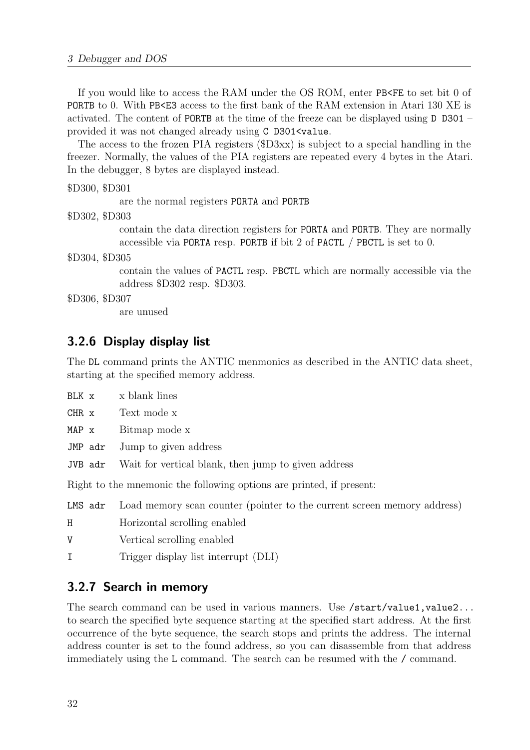If you would like to access the RAM under the OS ROM, enter PB<FE to set bit 0 of PORTB to 0. With PB<E3 access to the first bank of the RAM extension in Atari 130 XE is activated. The content of PORTB at the time of the freeze can be displayed using D D301 – provided it was not changed already using C D301<value.

The access to the frozen PIA registers (\$D3xx) is subject to a special handling in the freezer. Normally, the values of the PIA registers are repeated every 4 bytes in the Atari. In the debugger, 8 bytes are displayed instead.

```
$D300, $D301
```
are the normal registers PORTA and PORTB

\$D302, \$D303

contain the data direction registers for PORTA and PORTB. They are normally accessible via PORTA resp. PORTB if bit 2 of PACTL / PBCTL is set to 0.

#### \$D304, \$D305

contain the values of PACTL resp. PBCTL which are normally accessible via the address \$D302 resp. \$D303.

#### \$D306, \$D307

are unused

#### <span id="page-31-0"></span>3.2.6 Display display list

The DL command prints the ANTIC menmonics as described in the ANTIC data sheet, starting at the specified memory address.

| BLK x   | x blank lines                                                                   |
|---------|---------------------------------------------------------------------------------|
| CHR x   | Text mode x                                                                     |
| MAP x   | Bitmap mode x                                                                   |
| JMP adr | Jump to given address                                                           |
| JVB adr | Wait for vertical blank, then jump to given address                             |
|         | Right to the mnemonic the following options are printed, if present:            |
|         | LMS adr Load memory scan counter (pointer to the current screen memory address) |

H Horizontal scrolling enabled

- Vertical scrolling enabled
- I Trigger display list interrupt (DLI)

#### <span id="page-31-1"></span>3.2.7 Search in memory

The search command can be used in various manners. Use /start/value1, value2... to search the specified byte sequence starting at the specified start address. At the first occurrence of the byte sequence, the search stops and prints the address. The internal address counter is set to the found address, so you can disassemble from that address immediately using the L command. The search can be resumed with the / command.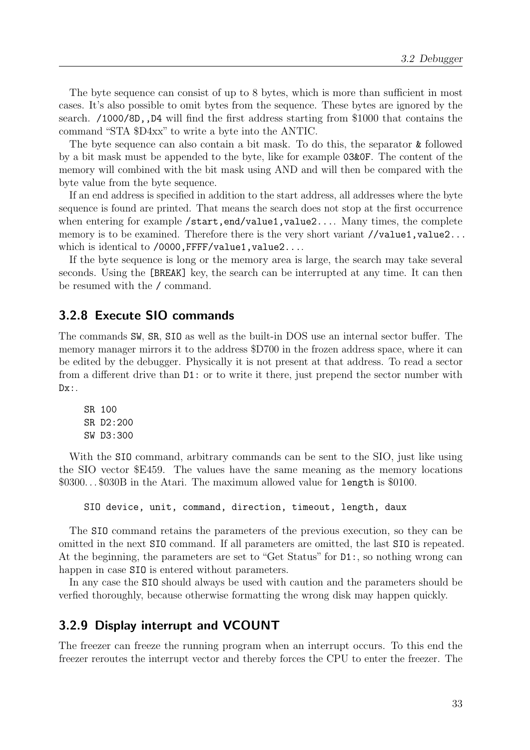The byte sequence can consist of up to 8 bytes, which is more than sufficient in most cases. It's also possible to omit bytes from the sequence. These bytes are ignored by the search. /1000/8D,,D4 will find the first address starting from \$1000 that contains the command "STA \$D4xx" to write a byte into the ANTIC.

The byte sequence can also contain a bit mask. To do this, the separator & followed by a bit mask must be appended to the byte, like for example 03&0F. The content of the memory will combined with the bit mask using AND and will then be compared with the byte value from the byte sequence.

If an end address is specified in addition to the start address, all addresses where the byte sequence is found are printed. That means the search does not stop at the first occurrence when entering for example /start,end/value1,value2.... Many times, the complete memory is to be examined. Therefore there is the very short variant //value1,value2... which is identical to /0000, FFFF/value1, value2....

If the byte sequence is long or the memory area is large, the search may take several seconds. Using the [BREAK] key, the search can be interrupted at any time. It can then be resumed with the / command.

#### <span id="page-32-0"></span>3.2.8 Execute SIO commands

The commands SW, SR, SIO as well as the built-in DOS use an internal sector buffer. The memory manager mirrors it to the address \$D700 in the frozen address space, where it can be edited by the debugger. Physically it is not present at that address. To read a sector from a different drive than D1: or to write it there, just prepend the sector number with  $Dx:$ .

SR 100 SR D2:200 SW D3:300

With the SIO command, arbitrary commands can be sent to the SIO, just like using the SIO vector \$E459. The values have the same meaning as the memory locations \$0300. . . \$030B in the Atari. The maximum allowed value for length is \$0100.

SIO device, unit, command, direction, timeout, length, daux

The SIO command retains the parameters of the previous execution, so they can be omitted in the next SIO command. If all parameters are omitted, the last SIO is repeated. At the beginning, the parameters are set to "Get Status" for D1:, so nothing wrong can happen in case SIO is entered without parameters.

In any case the SIO should always be used with caution and the parameters should be verfied thoroughly, because otherwise formatting the wrong disk may happen quickly.

#### <span id="page-32-1"></span>3.2.9 Display interrupt and VCOUNT

The freezer can freeze the running program when an interrupt occurs. To this end the freezer reroutes the interrupt vector and thereby forces the CPU to enter the freezer. The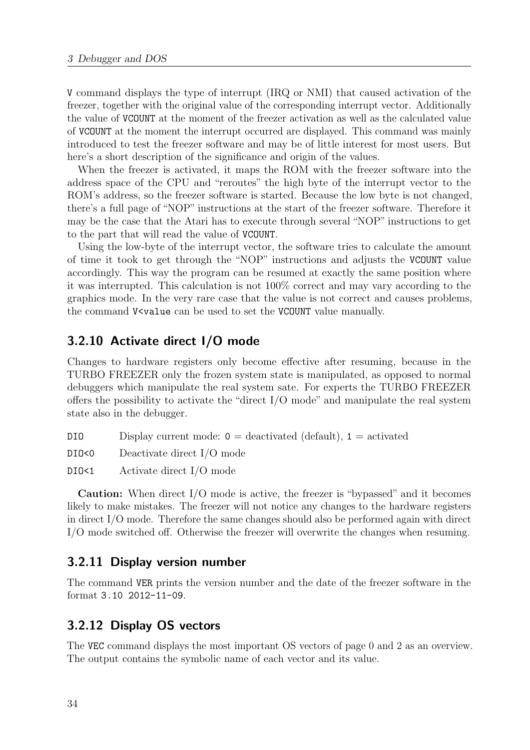V command displays the type of interrupt (IRQ or NMI) that caused activation of the freezer, together with the original value of the corresponding interrupt vector. Additionally the value of VCOUNT at the moment of the freezer activation as well as the calculated value of VCOUNT at the moment the interrupt occurred are displayed. This command was mainly introduced to test the freezer software and may be of little interest for most users. But here's a short description of the significance and origin of the values.

When the freezer is activated, it maps the ROM with the freezer software into the address space of the CPU and "reroutes" the high byte of the interrupt vector to the ROM's address, so the freezer software is started. Because the low byte is not changed, there's a full page of "NOP" instructions at the start of the freezer software. Therefore it may be the case that the Atari has to execute through several "NOP" instructions to get to the part that will read the value of VCOUNT.

Using the low-byte of the interrupt vector, the software tries to calculate the amount of time it took to get through the "NOP" instructions and adjusts the VCOUNT value accordingly. This way the program can be resumed at exactly the same position where it was interrupted. This calculation is not 100% correct and may vary according to the graphics mode. In the very rare case that the value is not correct and causes problems, the command V<value can be used to set the VCOUNT value manually.

#### <span id="page-33-0"></span>3.2.10 Activate direct I/O mode

Changes to hardware registers only become effective after resuming, because in the TURBO FREEZER only the frozen system state is manipulated, as opposed to normal debuggers which manipulate the real system sate. For experts the TURBO FREEZER offers the possibility to activate the "direct I/O mode" and manipulate the real system state also in the debugger.

DIO Display current mode:  $0 =$  deactivated (default),  $1 =$  activated

DIO<0 Deactivate direct I/O mode

DIO<1 Activate direct I/O mode

Caution: When direct I/O mode is active, the freezer is "bypassed" and it becomes likely to make mistakes. The freezer will not notice any changes to the hardware registers in direct I/O mode. Therefore the same changes should also be performed again with direct I/O mode switched off. Otherwise the freezer will overwrite the changes when resuming.

#### <span id="page-33-1"></span>3.2.11 Display version number

The command VER prints the version number and the date of the freezer software in the format 3.10 2012-11-09.

#### <span id="page-33-2"></span>3.2.12 Display OS vectors

The VEC command displays the most important OS vectors of page 0 and 2 as an overview. The output contains the symbolic name of each vector and its value.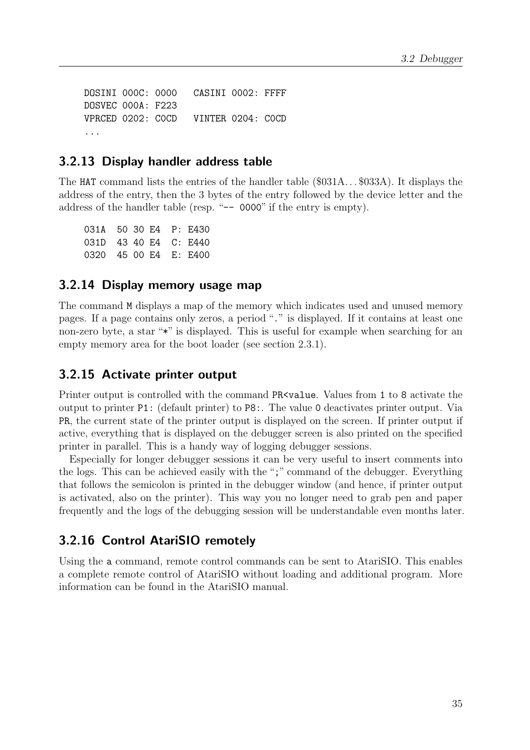DOSINI 000C: 0000 CASINI 0002: FFFF DOSVEC 000A: F223 VPRCED 0202: C0CD VINTER 0204: C0CD ...

#### <span id="page-34-0"></span>3.2.13 Display handler address table

The HAT command lists the entries of the handler table (\$031A. . . \$033A). It displays the address of the entry, then the 3 bytes of the entry followed by the device letter and the address of the handler table (resp. "-- 0000" if the entry is empty).

031A 50 30 E4 P: E430 031D 43 40 E4 C: E440 0320 45 00 E4 E: E400

#### <span id="page-34-1"></span>3.2.14 Display memory usage map

The command M displays a map of the memory which indicates used and unused memory pages. If a page contains only zeros, a period "." is displayed. If it contains at least one non-zero byte, a star "\*" is displayed. This is useful for example when searching for an empty memory area for the boot loader (see section [2.3.1\)](#page-21-0).

#### <span id="page-34-2"></span>3.2.15 Activate printer output

Printer output is controlled with the command PR<value. Values from 1 to 8 activate the output to printer P1: (default printer) to P8:. The value 0 deactivates printer output. Via PR, the current state of the printer output is displayed on the screen. If printer output if active, everything that is displayed on the debugger screen is also printed on the specified printer in parallel. This is a handy way of logging debugger sessions.

Especially for longer debugger sessions it can be very useful to insert comments into the logs. This can be achieved easily with the ";" command of the debugger. Everything that follows the semicolon is printed in the debugger window (and hence, if printer output is activated, also on the printer). This way you no longer need to grab pen and paper frequently and the logs of the debugging session will be understandable even months later.

#### <span id="page-34-3"></span>3.2.16 Control AtariSIO remotely

Using the a command, remote control commands can be sent to AtariSIO. This enables a complete remote control of AtariSIO without loading and additional program. More information can be found in the AtariSIO manual.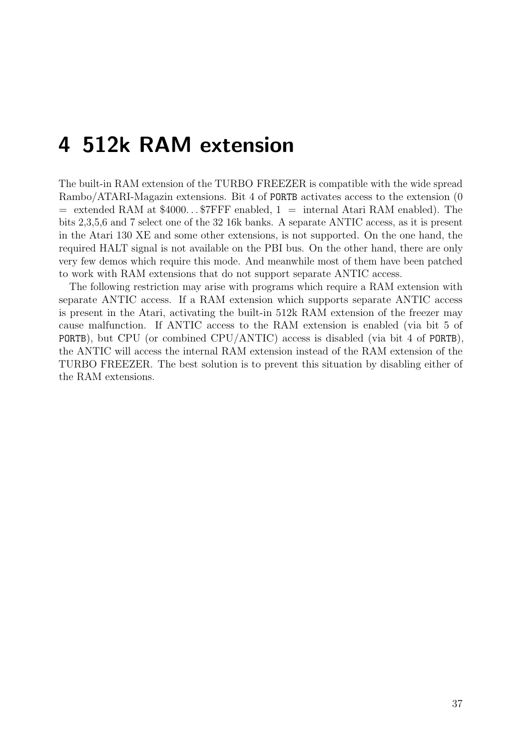# <span id="page-36-0"></span>4 512k RAM extension

The built-in RAM extension of the TURBO FREEZER is compatible with the wide spread Rambo/ATARI-Magazin extensions. Bit 4 of PORTB activates access to the extension (0  $=$  extended RAM at \$4000...\$7FFF enabled, 1  $=$  internal Atari RAM enabled). The bits 2,3,5,6 and 7 select one of the 32 16k banks. A separate ANTIC access, as it is present in the Atari 130 XE and some other extensions, is not supported. On the one hand, the required HALT signal is not available on the PBI bus. On the other hand, there are only very few demos which require this mode. And meanwhile most of them have been patched to work with RAM extensions that do not support separate ANTIC access.

The following restriction may arise with programs which require a RAM extension with separate ANTIC access. If a RAM extension which supports separate ANTIC access is present in the Atari, activating the built-in 512k RAM extension of the freezer may cause malfunction. If ANTIC access to the RAM extension is enabled (via bit 5 of PORTB), but CPU (or combined CPU/ANTIC) access is disabled (via bit 4 of PORTB), the ANTIC will access the internal RAM extension instead of the RAM extension of the TURBO FREEZER. The best solution is to prevent this situation by disabling either of the RAM extensions.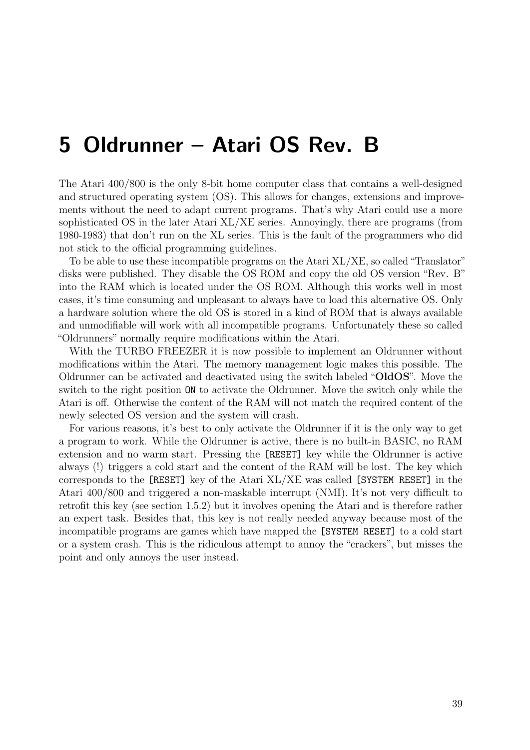# <span id="page-38-0"></span>5 Oldrunner – Atari OS Rev. B

The Atari 400/800 is the only 8-bit home computer class that contains a well-designed and structured operating system (OS). This allows for changes, extensions and improvements without the need to adapt current programs. That's why Atari could use a more sophisticated OS in the later Atari XL/XE series. Annoyingly, there are programs (from 1980-1983) that don't run on the XL series. This is the fault of the programmers who did not stick to the official programming guidelines.

To be able to use these incompatible programs on the Atari XL/XE, so called "Translator" disks were published. They disable the OS ROM and copy the old OS version "Rev. B" into the RAM which is located under the OS ROM. Although this works well in most cases, it's time consuming and unpleasant to always have to load this alternative OS. Only a hardware solution where the old OS is stored in a kind of ROM that is always available and unmodifiable will work with all incompatible programs. Unfortunately these so called "Oldrunners" normally require modifications within the Atari.

With the TURBO FREEZER it is now possible to implement an Oldrunner without modifications within the Atari. The memory management logic makes this possible. The Oldrunner can be activated and deactivated using the switch labeled "OldOS". Move the switch to the right position ON to activate the Oldrunner. Move the switch only while the Atari is off. Otherwise the content of the RAM will not match the required content of the newly selected OS version and the system will crash.

For various reasons, it's best to only activate the Oldrunner if it is the only way to get a program to work. While the Oldrunner is active, there is no built-in BASIC, no RAM extension and no warm start. Pressing the [RESET] key while the Oldrunner is active always (!) triggers a cold start and the content of the RAM will be lost. The key which corresponds to the [RESET] key of the Atari XL/XE was called [SYSTEM RESET] in the Atari 400/800 and triggered a non-maskable interrupt (NMI). It's not very difficult to retrofit this key (see section [1.5.2\)](#page-16-0) but it involves opening the Atari and is therefore rather an expert task. Besides that, this key is not really needed anyway because most of the incompatible programs are games which have mapped the [SYSTEM RESET] to a cold start or a system crash. This is the ridiculous attempt to annoy the "crackers", but misses the point and only annoys the user instead.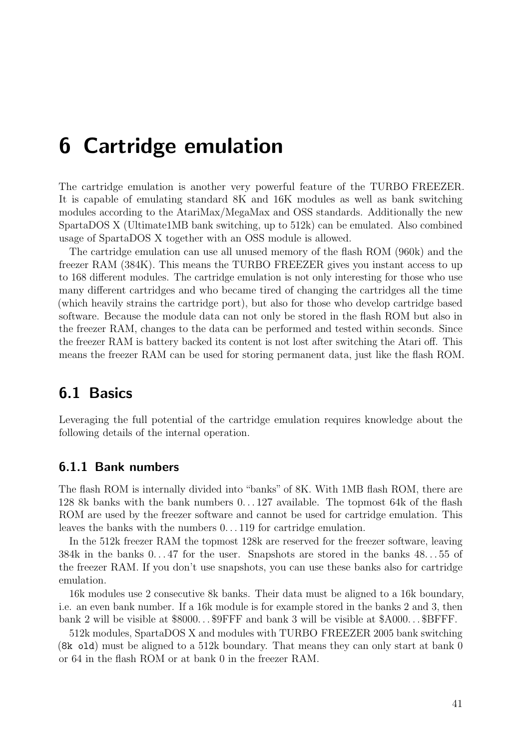# <span id="page-40-0"></span>6 Cartridge emulation

The cartridge emulation is another very powerful feature of the TURBO FREEZER. It is capable of emulating standard 8K and 16K modules as well as bank switching modules according to the AtariMax/MegaMax and OSS standards. Additionally the new SpartaDOS X (Ultimate1MB bank switching, up to 512k) can be emulated. Also combined usage of SpartaDOS X together with an OSS module is allowed.

The cartridge emulation can use all unused memory of the flash ROM (960k) and the freezer RAM (384K). This means the TURBO FREEZER gives you instant access to up to 168 different modules. The cartridge emulation is not only interesting for those who use many different cartridges and who became tired of changing the cartridges all the time (which heavily strains the cartridge port), but also for those who develop cartridge based software. Because the module data can not only be stored in the flash ROM but also in the freezer RAM, changes to the data can be performed and tested within seconds. Since the freezer RAM is battery backed its content is not lost after switching the Atari off. This means the freezer RAM can be used for storing permanent data, just like the flash ROM.

# <span id="page-40-1"></span>6.1 Basics

Leveraging the full potential of the cartridge emulation requires knowledge about the following details of the internal operation.

#### <span id="page-40-2"></span>6.1.1 Bank numbers

The flash ROM is internally divided into "banks" of 8K. With 1MB flash ROM, there are 128 8k banks with the bank numbers 0. . . 127 available. The topmost 64k of the flash ROM are used by the freezer software and cannot be used for cartridge emulation. This leaves the banks with the numbers 0. . . 119 for cartridge emulation.

In the 512k freezer RAM the topmost 128k are reserved for the freezer software, leaving 384k in the banks 0. . . 47 for the user. Snapshots are stored in the banks 48. . . 55 of the freezer RAM. If you don't use snapshots, you can use these banks also for cartridge emulation.

16k modules use 2 consecutive 8k banks. Their data must be aligned to a 16k boundary, i.e. an even bank number. If a 16k module is for example stored in the banks 2 and 3, then bank 2 will be visible at \$8000. . . \$9FFF and bank 3 will be visible at \$A000. . . \$BFFF.

512k modules, SpartaDOS X and modules with TURBO FREEZER 2005 bank switching (8k old) must be aligned to a 512k boundary. That means they can only start at bank 0 or 64 in the flash ROM or at bank 0 in the freezer RAM.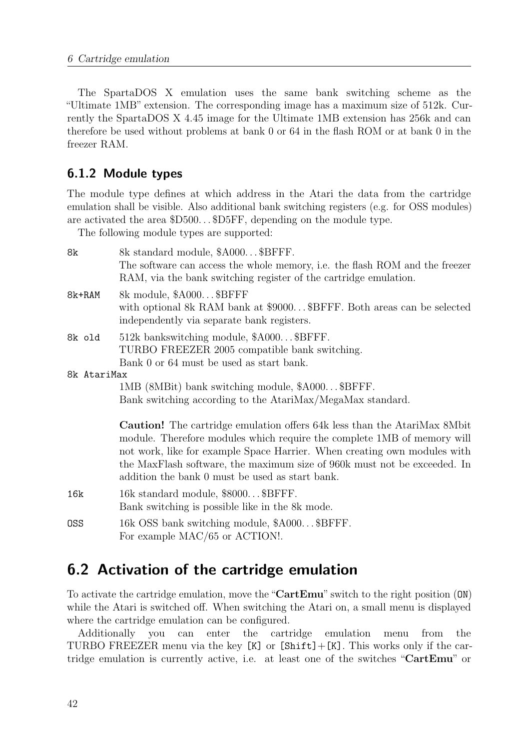The SpartaDOS X emulation uses the same bank switching scheme as the "Ultimate 1MB" extension. The corresponding image has a maximum size of 512k. Currently the SpartaDOS X 4.45 image for the Ultimate 1MB extension has 256k and can therefore be used without problems at bank 0 or 64 in the flash ROM or at bank 0 in the freezer RAM.

#### <span id="page-41-0"></span>6.1.2 Module types

The module type defines at which address in the Atari the data from the cartridge emulation shall be visible. Also additional bank switching registers (e.g. for OSS modules) are activated the area \$D500. . . \$D5FF, depending on the module type.

The following module types are supported:

| 8k          | 8k standard module, \$A000\$BFFF.<br>The software can access the whole memory, i.e. the flash ROM and the freezer<br>RAM, via the bank switching register of the cartridge emulation.                                                                                                                                                                                 |
|-------------|-----------------------------------------------------------------------------------------------------------------------------------------------------------------------------------------------------------------------------------------------------------------------------------------------------------------------------------------------------------------------|
| 8k+RAM      | 8k module, \$A000\$BFFF<br>with optional 8k RAM bank at \$9000\$BFFF. Both areas can be selected<br>independently via separate bank registers.                                                                                                                                                                                                                        |
| 8k old      | 512k bankswitching module, \$A000\$BFFF.<br>TURBO FREEZER 2005 compatible bank switching.<br>Bank 0 or 64 must be used as start bank.                                                                                                                                                                                                                                 |
| 8k AtariMax |                                                                                                                                                                                                                                                                                                                                                                       |
|             | 1MB (8MBit) bank switching module, \$A000\$BFFF.                                                                                                                                                                                                                                                                                                                      |
|             | Bank switching according to the AtariMax/MegaMax standard.                                                                                                                                                                                                                                                                                                            |
|             | <b>Caution!</b> The cartridge emulation offers 64k less than the AtariMax 8Mbit<br>module. Therefore modules which require the complete 1MB of memory will<br>not work, like for example Space Harrier. When creating own modules with<br>the MaxFlash software, the maximum size of 960k must not be exceeded. In<br>addition the bank 0 must be used as start bank. |
| 16k         | 16k standard module, \$8000\$BFFF.<br>Bank switching is possible like in the 8k mode.                                                                                                                                                                                                                                                                                 |
| OSS         | 16k OSS bank switching module, \$A000\$BFFF.<br>For example MAC/65 or ACTION!.                                                                                                                                                                                                                                                                                        |

# <span id="page-41-1"></span>6.2 Activation of the cartridge emulation

To activate the cartridge emulation, move the "CartEmu" switch to the right position (ON) while the Atari is switched off. When switching the Atari on, a small menu is displayed where the cartridge emulation can be configured.

Additionally you can enter the cartridge emulation menu from the TURBO FREEZER menu via the key [K] or [Shift]+[K]. This works only if the cartridge emulation is currently active, i.e. at least one of the switches "CartEmu" or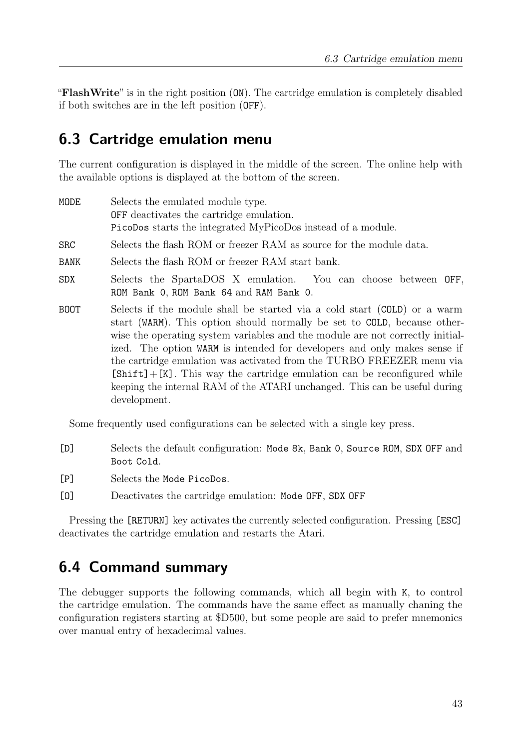"FlashWrite" is in the right position (ON). The cartridge emulation is completely disabled if both switches are in the left position (OFF).

# <span id="page-42-0"></span>6.3 Cartridge emulation menu

The current configuration is displayed in the middle of the screen. The online help with the available options is displayed at the bottom of the screen.

| MODE       | Selects the emulated module type.                                                                                                                                                                                                                                                                                                                                                                                                                                                                                                                                        |
|------------|--------------------------------------------------------------------------------------------------------------------------------------------------------------------------------------------------------------------------------------------------------------------------------------------------------------------------------------------------------------------------------------------------------------------------------------------------------------------------------------------------------------------------------------------------------------------------|
|            | <b>OFF</b> deactivates the cartridge emulation.                                                                                                                                                                                                                                                                                                                                                                                                                                                                                                                          |
|            | PicoDos starts the integrated MyPicoDos instead of a module.                                                                                                                                                                                                                                                                                                                                                                                                                                                                                                             |
| <b>SRC</b> | Selects the flash ROM or freezer RAM as source for the module data.                                                                                                                                                                                                                                                                                                                                                                                                                                                                                                      |
| BANK       | Selects the flash ROM or freezer RAM start bank.                                                                                                                                                                                                                                                                                                                                                                                                                                                                                                                         |
| <b>SDX</b> | Selects the SpartaDOS X emulation. You can choose between OFF,<br>ROM Bank O, ROM Bank 64 and RAM Bank O.                                                                                                                                                                                                                                                                                                                                                                                                                                                                |
| BOOT       | Selects if the module shall be started via a cold start (COLD) or a warm<br>start (WARM). This option should normally be set to COLD, because other-<br>wise the operating system variables and the module are not correctly initial-<br>ized. The option WARM is intended for developers and only makes sense if<br>the cartridge emulation was activated from the TURBO FREEZER menu via<br>$[Shift] + [K]$ . This way the cartridge emulation can be reconfigured while<br>keeping the internal RAM of the ATARI unchanged. This can be useful during<br>development. |

Some frequently used configurations can be selected with a single key press.

- [D] Selects the default configuration: Mode 8k, Bank 0, Source ROM, SDX OFF and Boot Cold.
- [P] Selects the Mode PicoDos.
- [O] Deactivates the cartridge emulation: Mode OFF, SDX OFF

Pressing the [RETURN] key activates the currently selected configuration. Pressing [ESC] deactivates the cartridge emulation and restarts the Atari.

# <span id="page-42-1"></span>6.4 Command summary

The debugger supports the following commands, which all begin with K, to control the cartridge emulation. The commands have the same effect as manually chaning the configuration registers starting at \$D500, but some people are said to prefer mnemonics over manual entry of hexadecimal values.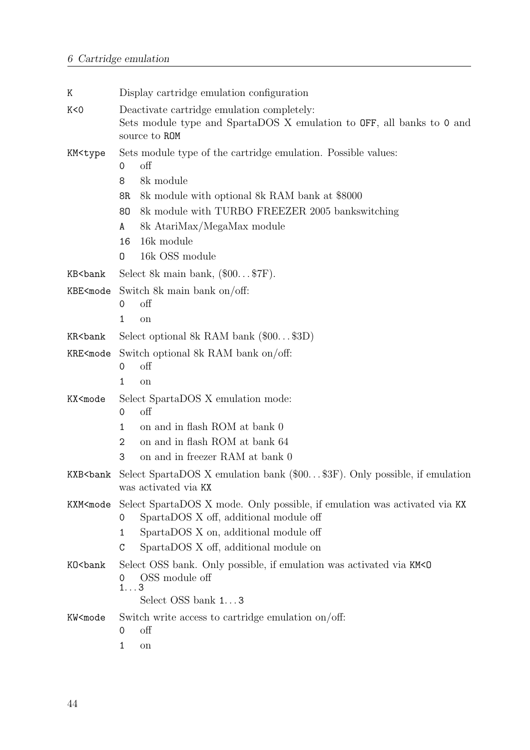| Κ                                                                                                                                                                                                                                                                                                                                                    | Display cartridge emulation configuration                                                                                                                                                                                                                                                 |  |  |  |  |  |  |
|------------------------------------------------------------------------------------------------------------------------------------------------------------------------------------------------------------------------------------------------------------------------------------------------------------------------------------------------------|-------------------------------------------------------------------------------------------------------------------------------------------------------------------------------------------------------------------------------------------------------------------------------------------|--|--|--|--|--|--|
| K < 0                                                                                                                                                                                                                                                                                                                                                | Deactivate cartridge emulation completely:<br>Sets module type and SpartaDOS X emulation to OFF, all banks to 0 and<br>source to ROM                                                                                                                                                      |  |  |  |  |  |  |
| KM <type< td=""><td colspan="7">Sets module type of the cartridge emulation. Possible values:<br/>off<br/>0<br/>8<br/>8k module<br/>8k module with optional 8k RAM bank at \$8000<br/>8R<br/>8k module with TURBO FREEZER 2005 bankswitching<br/>80<br/>8k AtariMax/MegaMax module<br/>A<br/>16k module<br/>16<br/>16k OSS module<br/>0</td></type<> | Sets module type of the cartridge emulation. Possible values:<br>off<br>0<br>8<br>8k module<br>8k module with optional 8k RAM bank at \$8000<br>8R<br>8k module with TURBO FREEZER 2005 bankswitching<br>80<br>8k AtariMax/MegaMax module<br>A<br>16k module<br>16<br>16k OSS module<br>0 |  |  |  |  |  |  |
| KB <bank< td=""><td>Select 8k main bank, <math>(\\$00\$7F)</math>.</td></bank<>                                                                                                                                                                                                                                                                      | Select 8k main bank, $(\$00$7F)$ .                                                                                                                                                                                                                                                        |  |  |  |  |  |  |
| KBE <mode< td=""><td colspan="6">Switch 8k main bank on/off:<br/><math>\mathrm{off}</math><br/>0<br/>1<br/>on</td></mode<>                                                                                                                                                                                                                           | Switch 8k main bank on/off:<br>$\mathrm{off}$<br>0<br>1<br>on                                                                                                                                                                                                                             |  |  |  |  |  |  |
| KR <bank< td=""><td>Select optional 8k RAM bank <math>(\\$00\\$3D)</math></td></bank<>                                                                                                                                                                                                                                                               | Select optional 8k RAM bank $(\$00\$3D)$                                                                                                                                                                                                                                                  |  |  |  |  |  |  |
| KRE <mode< td=""><td colspan="5">Switch optional 8k RAM bank on/off:<br/>off<br/>0<br/>1<br/>on</td></mode<>                                                                                                                                                                                                                                         | Switch optional 8k RAM bank on/off:<br>off<br>0<br>1<br>on                                                                                                                                                                                                                                |  |  |  |  |  |  |
| KX <mode< td=""><td>Select SpartaDOS X emulation mode:<br/>off<br/>0<br/>on and in flash ROM at bank 0<br/><math>\mathbf{1}</math><br/>on and in flash ROM at bank 64<br/>2<br/>on and in freezer RAM at bank 0<br/>3</td></mode<>                                                                                                                   | Select SpartaDOS X emulation mode:<br>off<br>0<br>on and in flash ROM at bank 0<br>$\mathbf{1}$<br>on and in flash ROM at bank 64<br>2<br>on and in freezer RAM at bank 0<br>3                                                                                                            |  |  |  |  |  |  |
| KXB <bank< td=""><td colspan="4">Select SpartaDOS X emulation bank (\$00\$3F). Only possible, if emulation<br/>was activated via KX</td></bank<>                                                                                                                                                                                                     | Select SpartaDOS X emulation bank (\$00\$3F). Only possible, if emulation<br>was activated via KX                                                                                                                                                                                         |  |  |  |  |  |  |
| KXM <mode< td=""><td colspan="4">Select SpartaDOS X mode. Only possible, if emulation was activated via KX<br/>SpartaDOS X off, additional module off<br/>0<br/>SpartaDOS X on, additional module off<br/>1<br/>SpartaDOS X off, additional module on<br/>C</td></mode<>                                                                             | Select SpartaDOS X mode. Only possible, if emulation was activated via KX<br>SpartaDOS X off, additional module off<br>0<br>SpartaDOS X on, additional module off<br>1<br>SpartaDOS X off, additional module on<br>C                                                                      |  |  |  |  |  |  |
| K0 <bank< td=""><td colspan="6">Select OSS bank. Only possible, if emulation was activated via KM<d<br>OSS module off<br/>0<br/><math>1\ldots 3</math><br/>Select OSS bank 13</d<br></td></bank<>                                                                                                                                                    | Select OSS bank. Only possible, if emulation was activated via KM <d<br>OSS module off<br/>0<br/><math>1\ldots 3</math><br/>Select OSS bank 13</d<br>                                                                                                                                     |  |  |  |  |  |  |
| KW <mode< td=""><td>Switch write access to cartridge emulation on/off:<br/>off<br/>0<br/>1<br/>on</td></mode<>                                                                                                                                                                                                                                       | Switch write access to cartridge emulation on/off:<br>off<br>0<br>1<br>on                                                                                                                                                                                                                 |  |  |  |  |  |  |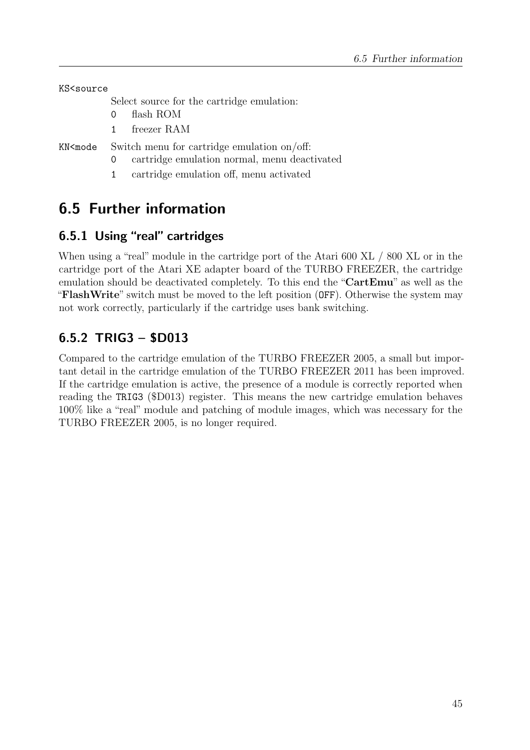KS<source

Select source for the cartridge emulation:

- 0 flash ROM
- 1 freezer RAM

KN<mode Switch menu for cartridge emulation on/off:

- 0 cartridge emulation normal, menu deactivated
- 1 cartridge emulation off, menu activated

# <span id="page-44-0"></span>6.5 Further information

## <span id="page-44-1"></span>6.5.1 Using "real" cartridges

When using a "real" module in the cartridge port of the Atari 600 XL / 800 XL or in the cartridge port of the Atari XE adapter board of the TURBO FREEZER, the cartridge emulation should be deactivated completely. To this end the "CartEmu" as well as the "FlashWrite" switch must be moved to the left position (OFF). Otherwise the system may not work correctly, particularly if the cartridge uses bank switching.

# <span id="page-44-2"></span>6.5.2 TRIG3 – \$D013

Compared to the cartridge emulation of the TURBO FREEZER 2005, a small but important detail in the cartridge emulation of the TURBO FREEZER 2011 has been improved. If the cartridge emulation is active, the presence of a module is correctly reported when reading the TRIG3 (\$D013) register. This means the new cartridge emulation behaves 100% like a "real" module and patching of module images, which was necessary for the TURBO FREEZER 2005, is no longer required.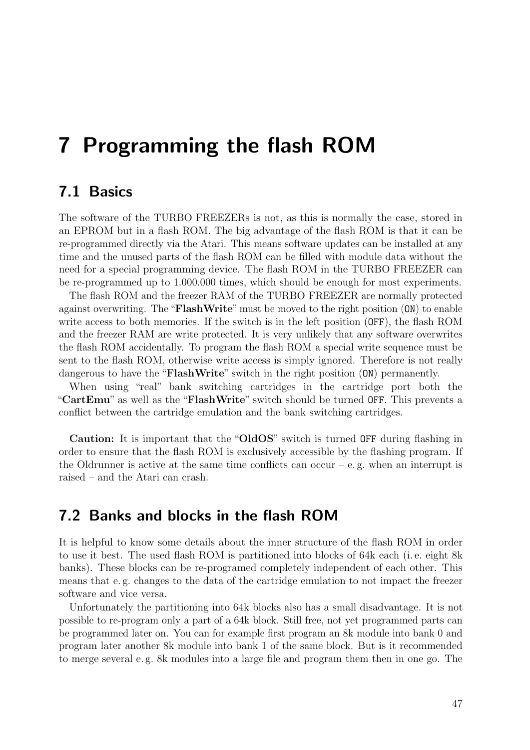# <span id="page-46-0"></span>7 Programming the flash ROM

# <span id="page-46-1"></span>7.1 Basics

The software of the TURBO FREEZERs is not, as this is normally the case, stored in an EPROM but in a flash ROM. The big advantage of the flash ROM is that it can be re-programmed directly via the Atari. This means software updates can be installed at any time and the unused parts of the flash ROM can be filled with module data without the need for a special programming device. The flash ROM in the TURBO FREEZER can be re-programmed up to 1.000.000 times, which should be enough for most experiments.

The flash ROM and the freezer RAM of the TURBO FREEZER are normally protected against overwriting. The "FlashWrite" must be moved to the right position (ON) to enable write access to both memories. If the switch is in the left position (OFF), the flash ROM and the freezer RAM are write protected. It is very unlikely that any software overwrites the flash ROM accidentally. To program the flash ROM a special write sequence must be sent to the flash ROM, otherwise write access is simply ignored. Therefore is not really dangerous to have the "**FlashWrite**" switch in the right position (ON) permanently.

When using "real" bank switching cartridges in the cartridge port both the "CartEmu" as well as the "FlashWrite" switch should be turned OFF. This prevents a conflict between the cartridge emulation and the bank switching cartridges.

Caution: It is important that the "OldOS" switch is turned OFF during flashing in order to ensure that the flash ROM is exclusively accessible by the flashing program. If the Oldrunner is active at the same time conflicts can occur – e.g. when an interrupt is raised – and the Atari can crash.

## <span id="page-46-2"></span>7.2 Banks and blocks in the flash ROM

It is helpful to know some details about the inner structure of the flash ROM in order to use it best. The used flash ROM is partitioned into blocks of 64k each (i. e. eight 8k banks). These blocks can be re-programed completely independent of each other. This means that e. g. changes to the data of the cartridge emulation to not impact the freezer software and vice versa.

Unfortunately the partitioning into 64k blocks also has a small disadvantage. It is not possible to re-program only a part of a 64k block. Still free, not yet programmed parts can be programmed later on. You can for example first program an 8k module into bank 0 and program later another 8k module into bank 1 of the same block. But is it recommended to merge several e. g. 8k modules into a large file and program them then in one go. The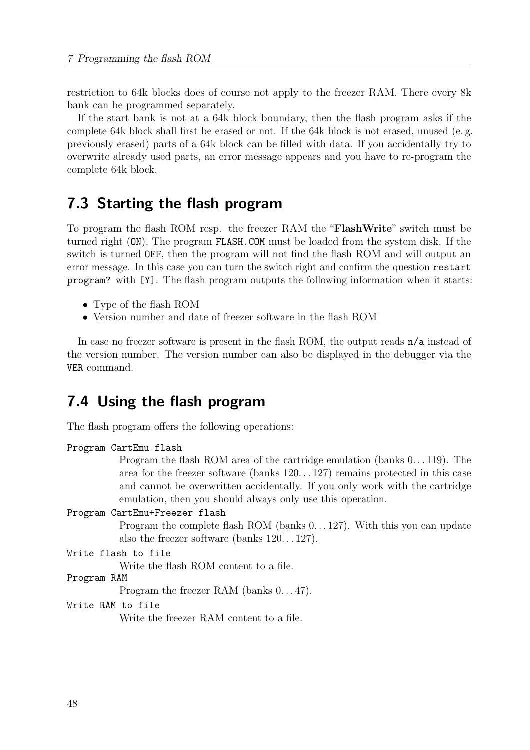restriction to 64k blocks does of course not apply to the freezer RAM. There every 8k bank can be programmed separately.

If the start bank is not at a 64k block boundary, then the flash program asks if the complete 64k block shall first be erased or not. If the 64k block is not erased, unused (e. g. previously erased) parts of a 64k block can be filled with data. If you accidentally try to overwrite already used parts, an error message appears and you have to re-program the complete 64k block.

# <span id="page-47-0"></span>7.3 Starting the flash program

To program the flash ROM resp. the freezer RAM the "FlashWrite" switch must be turned right (ON). The program FLASH.COM must be loaded from the system disk. If the switch is turned OFF, then the program will not find the flash ROM and will output an error message. In this case you can turn the switch right and confirm the question restart program? with [Y]. The flash program outputs the following information when it starts:

- Type of the flash ROM
- Version number and date of freezer software in the flash ROM

In case no freezer software is present in the flash ROM, the output reads  $n/a$  instead of the version number. The version number can also be displayed in the debugger via the VER command.

## <span id="page-47-1"></span>7.4 Using the flash program

The flash program offers the following operations:

```
Program CartEmu flash
```
Program the flash ROM area of the cartridge emulation (banks 0. . . 119). The area for the freezer software (banks 120. . . 127) remains protected in this case and cannot be overwritten accidentally. If you only work with the cartridge emulation, then you should always only use this operation.

```
Program CartEmu+Freezer flash
```
Program the complete flash ROM (banks  $0 \dots 127$ ). With this you can update also the freezer software (banks  $120...127$ ).

```
Write flash to file
```
Write the flash ROM content to a file.

Program RAM

Program the freezer RAM (banks  $0...47$ ).

#### Write RAM to file

Write the freezer RAM content to a file.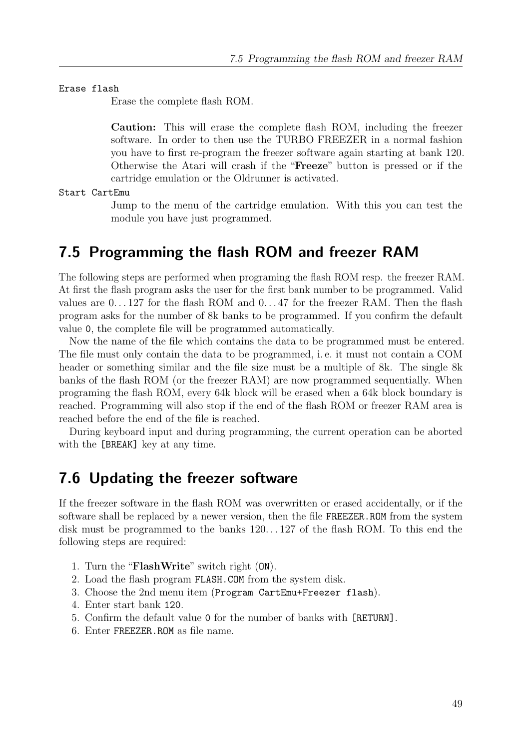Erase flash

Erase the complete flash ROM.

Caution: This will erase the complete flash ROM, including the freezer software. In order to then use the TURBO FREEZER in a normal fashion you have to first re-program the freezer software again starting at bank 120. Otherwise the Atari will crash if the "Freeze" button is pressed or if the cartridge emulation or the Oldrunner is activated.

Start CartEmu

Jump to the menu of the cartridge emulation. With this you can test the module you have just programmed.

# <span id="page-48-0"></span>7.5 Programming the flash ROM and freezer RAM

The following steps are performed when programing the flash ROM resp. the freezer RAM. At first the flash program asks the user for the first bank number to be programmed. Valid values are 0. . . 127 for the flash ROM and 0. . . 47 for the freezer RAM. Then the flash program asks for the number of 8k banks to be programmed. If you confirm the default value 0, the complete file will be programmed automatically.

Now the name of the file which contains the data to be programmed must be entered. The file must only contain the data to be programmed, i. e. it must not contain a COM header or something similar and the file size must be a multiple of 8k. The single 8k banks of the flash ROM (or the freezer RAM) are now programmed sequentially. When programing the flash ROM, every 64k block will be erased when a 64k block boundary is reached. Programming will also stop if the end of the flash ROM or freezer RAM area is reached before the end of the file is reached.

During keyboard input and during programming, the current operation can be aborted with the [BREAK] key at any time.

### <span id="page-48-1"></span>7.6 Updating the freezer software

If the freezer software in the flash ROM was overwritten or erased accidentally, or if the software shall be replaced by a newer version, then the file FREEZER.ROM from the system disk must be programmed to the banks 120. . . 127 of the flash ROM. To this end the following steps are required:

- 1. Turn the "FlashWrite" switch right (ON).
- 2. Load the flash program FLASH.COM from the system disk.
- 3. Choose the 2nd menu item (Program CartEmu+Freezer flash).
- 4. Enter start bank 120.
- 5. Confirm the default value 0 for the number of banks with [RETURN].
- 6. Enter FREEZER.ROM as file name.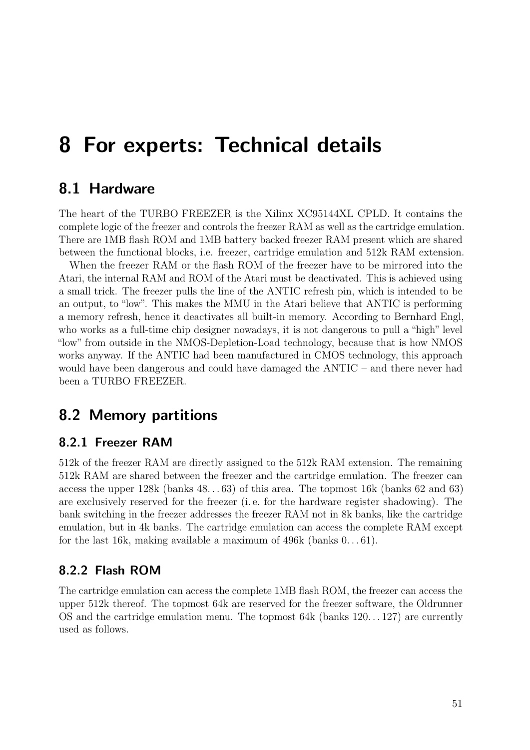# <span id="page-50-0"></span>8 For experts: Technical details

## <span id="page-50-1"></span>8.1 Hardware

The heart of the TURBO FREEZER is the Xilinx XC95144XL CPLD. It contains the complete logic of the freezer and controls the freezer RAM as well as the cartridge emulation. There are 1MB flash ROM and 1MB battery backed freezer RAM present which are shared between the functional blocks, i.e. freezer, cartridge emulation and 512k RAM extension.

When the freezer RAM or the flash ROM of the freezer have to be mirrored into the Atari, the internal RAM and ROM of the Atari must be deactivated. This is achieved using a small trick. The freezer pulls the line of the ANTIC refresh pin, which is intended to be an output, to "low". This makes the MMU in the Atari believe that ANTIC is performing a memory refresh, hence it deactivates all built-in memory. According to Bernhard Engl, who works as a full-time chip designer nowadays, it is not dangerous to pull a "high" level "low" from outside in the NMOS-Depletion-Load technology, because that is how NMOS works anyway. If the ANTIC had been manufactured in CMOS technology, this approach would have been dangerous and could have damaged the ANTIC – and there never had been a TURBO FREEZER.

# <span id="page-50-2"></span>8.2 Memory partitions

#### <span id="page-50-3"></span>8.2.1 Freezer RAM

512k of the freezer RAM are directly assigned to the 512k RAM extension. The remaining 512k RAM are shared between the freezer and the cartridge emulation. The freezer can access the upper 128k (banks 48. . . 63) of this area. The topmost 16k (banks 62 and 63) are exclusively reserved for the freezer (i. e. for the hardware register shadowing). The bank switching in the freezer addresses the freezer RAM not in 8k banks, like the cartridge emulation, but in 4k banks. The cartridge emulation can access the complete RAM except for the last 16k, making available a maximum of 496k (banks  $0 \dots 61$ ).

#### <span id="page-50-4"></span>8.2.2 Flash ROM

The cartridge emulation can access the complete 1MB flash ROM, the freezer can access the upper 512k thereof. The topmost 64k are reserved for the freezer software, the Oldrunner OS and the cartridge emulation menu. The topmost 64k (banks 120. . . 127) are currently used as follows.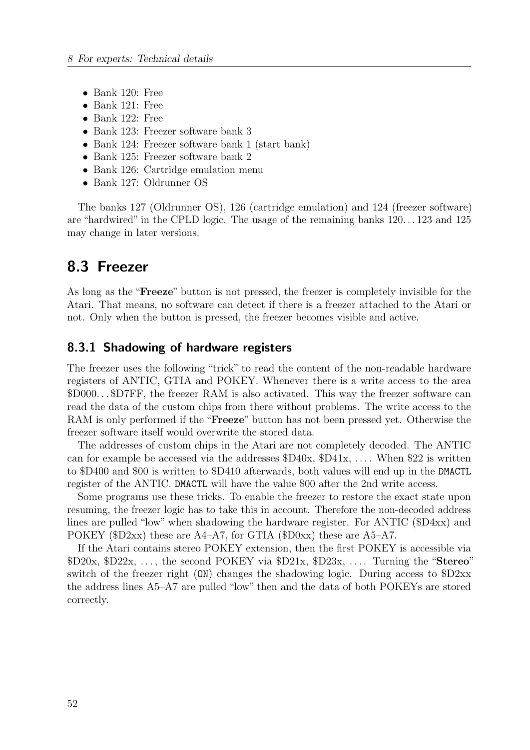- Bank 120: Free
- Bank 121: Free
- Bank 122: Free
- Bank 123: Freezer software bank 3
- Bank 124: Freezer software bank 1 (start bank)
- Bank 125: Freezer software bank 2
- Bank 126: Cartridge emulation menu
- Bank 127: Oldrunner OS

The banks 127 (Oldrunner OS), 126 (cartridge emulation) and 124 (freezer software) are "hardwired" in the CPLD logic. The usage of the remaining banks 120. . . 123 and 125 may change in later versions.

# <span id="page-51-0"></span>8.3 Freezer

As long as the "Freeze" button is not pressed, the freezer is completely invisible for the Atari. That means, no software can detect if there is a freezer attached to the Atari or not. Only when the button is pressed, the freezer becomes visible and active.

#### <span id="page-51-1"></span>8.3.1 Shadowing of hardware registers

The freezer uses the following "trick" to read the content of the non-readable hardware registers of ANTIC, GTIA and POKEY. Whenever there is a write access to the area \$D000. . . \$D7FF, the freezer RAM is also activated. This way the freezer software can read the data of the custom chips from there without problems. The write access to the RAM is only performed if the "Freeze" button has not been pressed yet. Otherwise the freezer software itself would overwrite the stored data.

The addresses of custom chips in the Atari are not completely decoded. The ANTIC can for example be accessed via the addresses  $D40x$ ,  $D41x$ , .... When  $22$  is written to \$D400 and \$00 is written to \$D410 afterwards, both values will end up in the DMACTL register of the ANTIC. DMACTL will have the value \$00 after the 2nd write access.

Some programs use these tricks. To enable the freezer to restore the exact state upon resuming, the freezer logic has to take this in account. Therefore the non-decoded address lines are pulled "low" when shadowing the hardware register. For ANTIC (\$D4xx) and POKEY (\$D2xx) these are A4–A7, for GTIA (\$D0xx) these are A5–A7.

If the Atari contains stereo POKEY extension, then the first POKEY is accessible via  $D20x$ ,  $D22x$ , ..., the second POKEY via  $D21x$ ,  $D23x$ , .... Turning the "Stereo" switch of the freezer right (ON) changes the shadowing logic. During access to \$D2xx the address lines A5–A7 are pulled "low" then and the data of both POKEYs are stored correctly.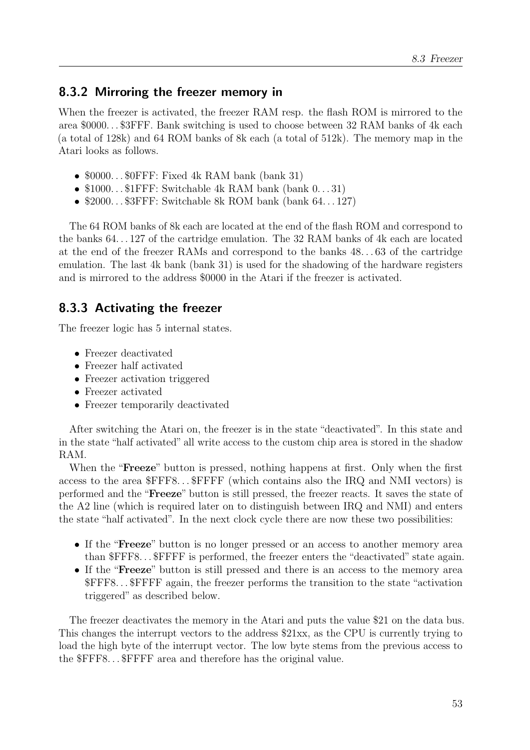#### <span id="page-52-0"></span>8.3.2 Mirroring the freezer memory in

When the freezer is activated, the freezer RAM resp. the flash ROM is mirrored to the area \$0000. . . \$3FFF. Bank switching is used to choose between 32 RAM banks of 4k each (a total of 128k) and 64 ROM banks of 8k each (a total of 512k). The memory map in the Atari looks as follows.

- $$0000...$0FFF: Fixed 4k RAM bank (bank 31)$
- $$1000...$1FFF: Switchable 4k RAM bank (bank  $0...31$ )$
- $$2000...$  \$3FFF: Switchable 8k ROM bank (bank 64... 127)

The 64 ROM banks of 8k each are located at the end of the flash ROM and correspond to the banks 64. . . 127 of the cartridge emulation. The 32 RAM banks of 4k each are located at the end of the freezer RAMs and correspond to the banks 48. . . 63 of the cartridge emulation. The last 4k bank (bank 31) is used for the shadowing of the hardware registers and is mirrored to the address \$0000 in the Atari if the freezer is activated.

#### <span id="page-52-1"></span>8.3.3 Activating the freezer

The freezer logic has 5 internal states.

- Freezer deactivated
- Freezer half activated
- Freezer activation triggered
- Freezer activated
- Freezer temporarily deactivated

After switching the Atari on, the freezer is in the state "deactivated". In this state and in the state "half activated" all write access to the custom chip area is stored in the shadow RAM.

When the "**Freeze**" button is pressed, nothing happens at first. Only when the first access to the area \$FFF8. . . \$FFFF (which contains also the IRQ and NMI vectors) is performed and the "Freeze" button is still pressed, the freezer reacts. It saves the state of the A2 line (which is required later on to distinguish between IRQ and NMI) and enters the state "half activated". In the next clock cycle there are now these two possibilities:

- If the "**Freeze**" button is no longer pressed or an access to another memory area than \$FFF8. . . \$FFFF is performed, the freezer enters the "deactivated" state again.
- If the "**Freeze**" button is still pressed and there is an access to the memory area \$FFF8. . . \$FFFF again, the freezer performs the transition to the state "activation triggered" as described below.

The freezer deactivates the memory in the Atari and puts the value \$21 on the data bus. This changes the interrupt vectors to the address \$21xx, as the CPU is currently trying to load the high byte of the interrupt vector. The low byte stems from the previous access to the \$FFF8. . . \$FFFF area and therefore has the original value.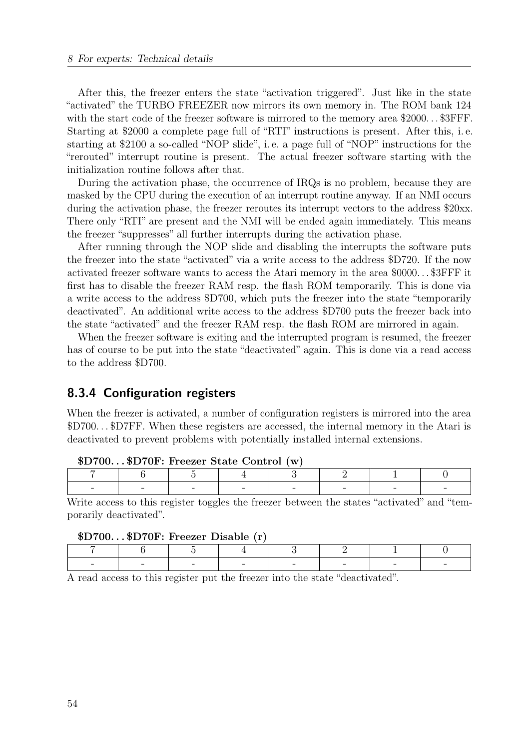After this, the freezer enters the state "activation triggered". Just like in the state "activated" the TURBO FREEZER now mirrors its own memory in. The ROM bank 124 with the start code of the freezer software is mirrored to the memory area \$2000... \$3FFF. Starting at \$2000 a complete page full of "RTI" instructions is present. After this, i. e. starting at \$2100 a so-called "NOP slide", i. e. a page full of "NOP" instructions for the "rerouted" interrupt routine is present. The actual freezer software starting with the initialization routine follows after that.

During the activation phase, the occurrence of IRQs is no problem, because they are masked by the CPU during the execution of an interrupt routine anyway. If an NMI occurs during the activation phase, the freezer reroutes its interrupt vectors to the address \$20xx. There only "RTI" are present and the NMI will be ended again immediately. This means the freezer "suppresses" all further interrupts during the activation phase.

After running through the NOP slide and disabling the interrupts the software puts the freezer into the state "activated" via a write access to the address \$D720. If the now activated freezer software wants to access the Atari memory in the area \$0000. . . \$3FFF it first has to disable the freezer RAM resp. the flash ROM temporarily. This is done via a write access to the address \$D700, which puts the freezer into the state "temporarily deactivated". An additional write access to the address \$D700 puts the freezer back into the state "activated" and the freezer RAM resp. the flash ROM are mirrored in again.

When the freezer software is exiting and the interrupted program is resumed, the freezer has of course to be put into the state "deactivated" again. This is done via a read access to the address \$D700.

#### <span id="page-53-0"></span>8.3.4 Configuration registers

When the freezer is activated, a number of configuration registers is mirrored into the area \$D700. . . \$D7FF. When these registers are accessed, the internal memory in the Atari is deactivated to prevent problems with potentially installed internal extensions.

| $\phi$ DT00 $\phi$ DT01.1100201 Drave Contribity |  |  |  |  |  |  |  |  |
|--------------------------------------------------|--|--|--|--|--|--|--|--|
|                                                  |  |  |  |  |  |  |  |  |
| $\sim$                                           |  |  |  |  |  |  |  |  |

| \$D700\$D70F: Freezer State Control (w) |  |  |  |  |  |
|-----------------------------------------|--|--|--|--|--|
|-----------------------------------------|--|--|--|--|--|

Write access to this register toggles the freezer between the states "activated" and "temporarily deactivated".

| \$D700\$D70F: Freezer Disable (r) |  |
|-----------------------------------|--|
|-----------------------------------|--|

|  | $-$ | $-$ | $-$ | $-$ |  |
|--|-----|-----|-----|-----|--|

A read access to this register put the freezer into the state "deactivated".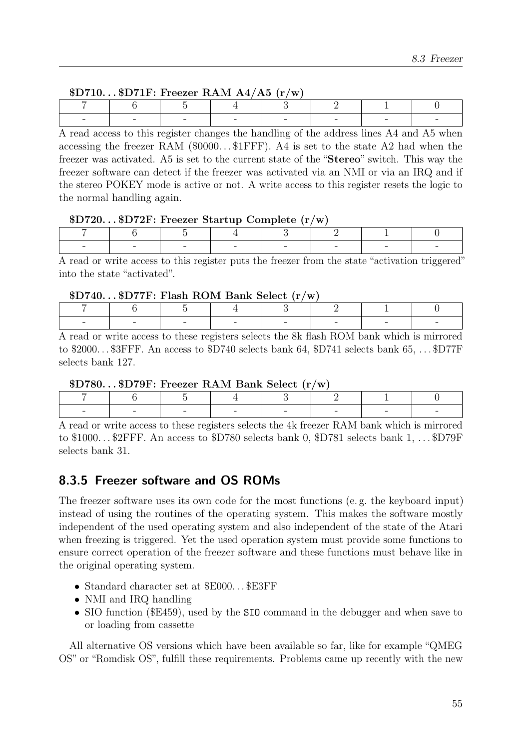| $D710SD71F$ : Freezer RAM A4/A5 (r/w) |  |  |  |  |  |
|---------------------------------------|--|--|--|--|--|
|---------------------------------------|--|--|--|--|--|

| $\overline{\phantom{0}}$ | $\sim$ | <b>Contract Contract Contract</b> | $\sim$ |  |
|--------------------------|--------|-----------------------------------|--------|--|

A read access to this register changes the handling of the address lines A4 and A5 when accessing the freezer RAM  $(\text{\$0000...$1FFF})$ . A4 is set to the state A2 had when the freezer was activated. A5 is set to the current state of the "Stereo" switch. This way the freezer software can detect if the freezer was activated via an NMI or via an IRQ and if the stereo POKEY mode is active or not. A write access to this register resets the logic to the normal handling again.

#### \$D720. . . \$D72F: Freezer Startup Complete (r/w)

| $\sim$ | $\sim$ | <b>Contract Contract Contract Contract</b><br>$\sim$ | the company of the company of | $\mathbf{I}$<br>$\sim$ | - |
|--------|--------|------------------------------------------------------|-------------------------------|------------------------|---|

A read or write access to this register puts the freezer from the state "activation triggered" into the state "activated".

#### $D740...SD77F: Flash ROM Bank Select (r/w)$

| - | $\sim$ | $\overline{\phantom{0}}$ | $-$ | $\sim$ | $\overline{\phantom{0}}$ | - |  |
|---|--------|--------------------------|-----|--------|--------------------------|---|--|

A read or write access to these registers selects the 8k flash ROM bank which is mirrored to \$2000... \$3FFF. An access to \$D740 selects bank 64, \$D741 selects bank 65, ... \$D77F selects bank 127.

\$D780. . . \$D79F: Freezer RAM Bank Select (r/w)

| $-$ | $\overline{\phantom{a}}$ |  | $-$ | $\overline{\phantom{a}}$ | $\sim$ |  |  |
|-----|--------------------------|--|-----|--------------------------|--------|--|--|

A read or write access to these registers selects the 4k freezer RAM bank which is mirrored to \$1000. . . \$2FFF. An access to \$D780 selects bank 0, \$D781 selects bank 1, . . . \$D79F selects bank 31.

### <span id="page-54-0"></span>8.3.5 Freezer software and OS ROMs

The freezer software uses its own code for the most functions (e. g. the keyboard input) instead of using the routines of the operating system. This makes the software mostly independent of the used operating system and also independent of the state of the Atari when freezing is triggered. Yet the used operation system must provide some functions to ensure correct operation of the freezer software and these functions must behave like in the original operating system.

- Standard character set at \$E000. . . \$E3FF
- NMI and IRQ handling
- SIO function (\$E459), used by the SIO command in the debugger and when save to or loading from cassette

All alternative OS versions which have been available so far, like for example "QMEG OS" or "Romdisk OS", fulfill these requirements. Problems came up recently with the new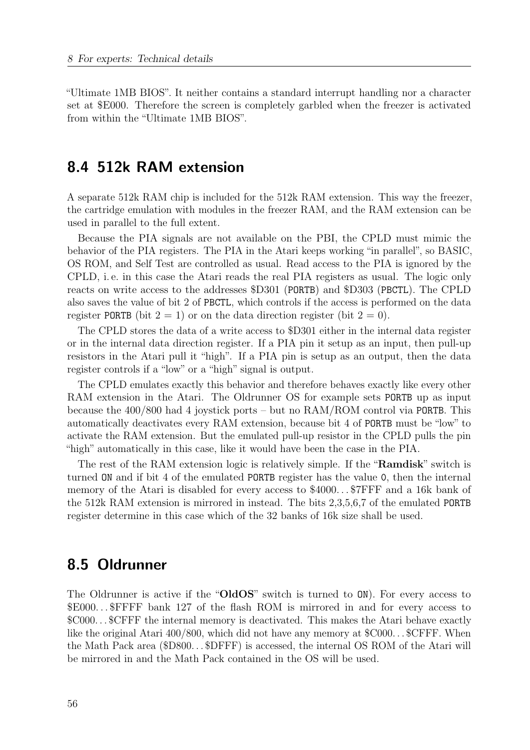"Ultimate 1MB BIOS". It neither contains a standard interrupt handling nor a character set at \$E000. Therefore the screen is completely garbled when the freezer is activated from within the "Ultimate 1MB BIOS".

## <span id="page-55-0"></span>8.4 512k RAM extension

A separate 512k RAM chip is included for the 512k RAM extension. This way the freezer, the cartridge emulation with modules in the freezer RAM, and the RAM extension can be used in parallel to the full extent.

Because the PIA signals are not available on the PBI, the CPLD must mimic the behavior of the PIA registers. The PIA in the Atari keeps working "in parallel", so BASIC, OS ROM, and Self Test are controlled as usual. Read access to the PIA is ignored by the CPLD, i. e. in this case the Atari reads the real PIA registers as usual. The logic only reacts on write access to the addresses \$D301 (PORTB) and \$D303 (PBCTL). The CPLD also saves the value of bit 2 of PBCTL, which controls if the access is performed on the data register PORTB (bit  $2 = 1$ ) or on the data direction register (bit  $2 = 0$ ).

The CPLD stores the data of a write access to \$D301 either in the internal data register or in the internal data direction register. If a PIA pin it setup as an input, then pull-up resistors in the Atari pull it "high". If a PIA pin is setup as an output, then the data register controls if a "low" or a "high" signal is output.

The CPLD emulates exactly this behavior and therefore behaves exactly like every other RAM extension in the Atari. The Oldrunner OS for example sets PORTB up as input because the 400/800 had 4 joystick ports – but no RAM/ROM control via PORTB. This automatically deactivates every RAM extension, because bit 4 of PORTB must be "low" to activate the RAM extension. But the emulated pull-up resistor in the CPLD pulls the pin "high" automatically in this case, like it would have been the case in the PIA.

The rest of the RAM extension logic is relatively simple. If the "**Ramdisk**" switch is turned ON and if bit 4 of the emulated PORTB register has the value 0, then the internal memory of the Atari is disabled for every access to \$4000...\$7FFF and a 16k bank of the 512k RAM extension is mirrored in instead. The bits 2,3,5,6,7 of the emulated PORTB register determine in this case which of the 32 banks of 16k size shall be used.

## <span id="page-55-1"></span>8.5 Oldrunner

The Oldrunner is active if the "OldOS" switch is turned to  $ON$ ). For every access to \$E000. . . \$FFFF bank 127 of the flash ROM is mirrored in and for every access to \$C000. . . \$CFFF the internal memory is deactivated. This makes the Atari behave exactly like the original Atari 400/800, which did not have any memory at  $C000...$  SCFFF. When the Math Pack area (\$D800. . . \$DFFF) is accessed, the internal OS ROM of the Atari will be mirrored in and the Math Pack contained in the OS will be used.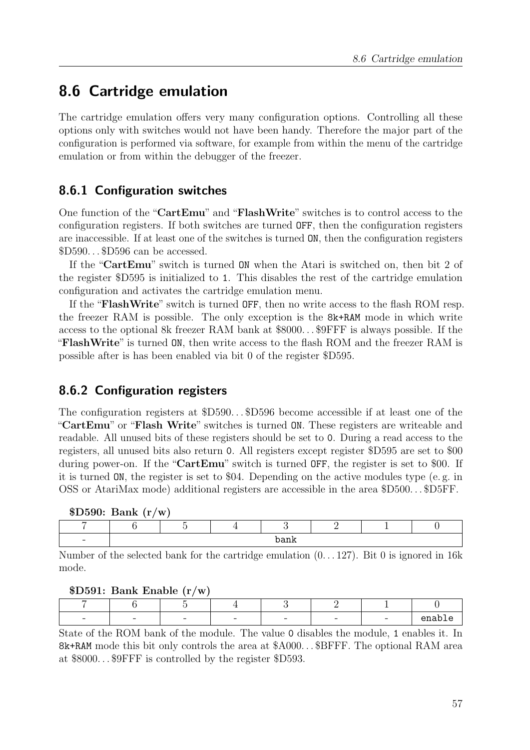# <span id="page-56-0"></span>8.6 Cartridge emulation

The cartridge emulation offers very many configuration options. Controlling all these options only with switches would not have been handy. Therefore the major part of the configuration is performed via software, for example from within the menu of the cartridge emulation or from within the debugger of the freezer.

# <span id="page-56-1"></span>8.6.1 Configuration switches

One function of the "CartEmu" and "FlashWrite" switches is to control access to the configuration registers. If both switches are turned OFF, then the configuration registers are inaccessible. If at least one of the switches is turned ON, then the configuration registers \$D590. . . \$D596 can be accessed.

If the "CartEmu" switch is turned ON when the Atari is switched on, then bit 2 of the register \$D595 is initialized to 1. This disables the rest of the cartridge emulation configuration and activates the cartridge emulation menu.

If the "FlashWrite" switch is turned OFF, then no write access to the flash ROM resp. the freezer RAM is possible. The only exception is the 8k+RAM mode in which write access to the optional 8k freezer RAM bank at \$8000. . . \$9FFF is always possible. If the "FlashWrite" is turned ON, then write access to the flash ROM and the freezer RAM is possible after is has been enabled via bit 0 of the register \$D595.

## <span id="page-56-2"></span>8.6.2 Configuration registers

The configuration registers at \$D590...\$D596 become accessible if at least one of the "CartEmu" or "Flash Write" switches is turned ON. These registers are writeable and readable. All unused bits of these registers should be set to 0. During a read access to the registers, all unused bits also return 0. All registers except register \$D595 are set to \$00 during power-on. If the "**CartEmu**" switch is turned **OFF**, the register is set to \$00. If it is turned ON, the register is set to \$04. Depending on the active modules type (e. g. in OSS or AtariMax mode) additional registers are accessible in the area \$D500. . . \$D5FF.

| D590: Bank (r/w) |  |  |
|------------------|--|--|
|------------------|--|--|

| $\overline{\phantom{0}}$ |  | $ -$<br>בבבנטי<br>$\tilde{\phantom{a}}$ |  |  |
|--------------------------|--|-----------------------------------------|--|--|

Number of the selected bank for the cartridge emulation  $(0...127)$ . Bit 0 is ignored in 16k mode.

|  |  | \$D591: Bank Enable (r/w) |  |  |  |
|--|--|---------------------------|--|--|--|
|--|--|---------------------------|--|--|--|

| $\sim$<br>$\sim$<br>-<br>$\overline{\phantom{a}}$<br>-<br>- |  |  |  | ---- |
|-------------------------------------------------------------|--|--|--|------|

State of the ROM bank of the module. The value 0 disables the module, 1 enables it. In 8k+RAM mode this bit only controls the area at \$A000. . . \$BFFF. The optional RAM area at \$8000. . . \$9FFF is controlled by the register \$D593.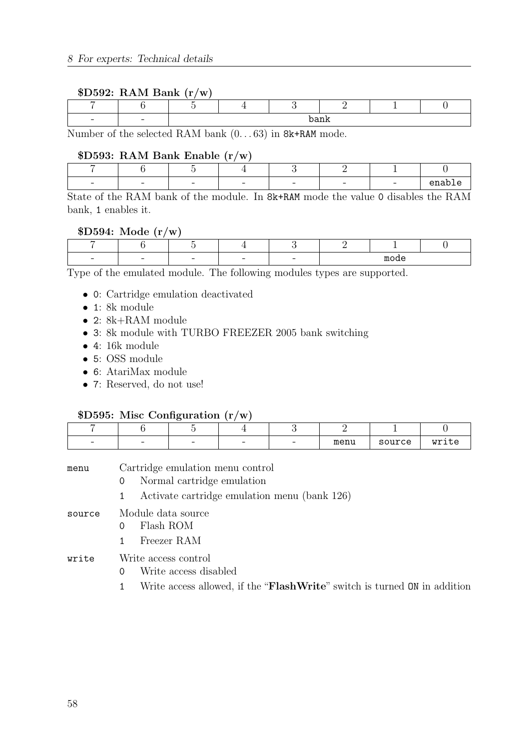#### \$D592: RAM Bank (r/w)

| - |  |  | $ -$ |  |
|---|--|--|------|--|

Number of the selected RAM bank (0. . . 63) in 8k+RAM mode.

#### \$D593: RAM Bank Enable (r/w)

| $\sim$ | $-$ | $-$ | $\overline{\phantom{0}}$ | - | $\sim$ | $-$ | $\sim$<br>◡ |
|--------|-----|-----|--------------------------|---|--------|-----|-------------|

State of the RAM bank of the module. In 8k+RAM mode the value 0 disables the RAM bank, 1 enables it.

#### \$D594: Mode (r/w)

|  |  |  | $-$<br>mnn |  |
|--|--|--|------------|--|

Type of the emulated module. The following modules types are supported.

- 0: Cartridge emulation deactivated
- 1: 8k module
- 2: 8k+RAM module
- 3: 8k module with TURBO FREEZER 2005 bank switching
- 4: 16k module
- 5: OSS module
- 6: AtariMax module
- 7: Reserved, do not use!

#### \$D595: Misc Configuration (r/w)

| $\sim$ | - | $\overline{\phantom{a}}$ | $\overline{\phantom{0}}$ | - | menu | source | $- - - -$<br>. . |
|--------|---|--------------------------|--------------------------|---|------|--------|------------------|

- menu Cartridge emulation menu control 0 Normal cartridge emulation 1 Activate cartridge emulation menu (bank 126) source Module data source
	- 0 Flash ROM
		- 1 Freezer RAM

#### write Write access control

- 0 Write access disabled
- 1 Write access allowed, if the "FlashWrite" switch is turned ON in addition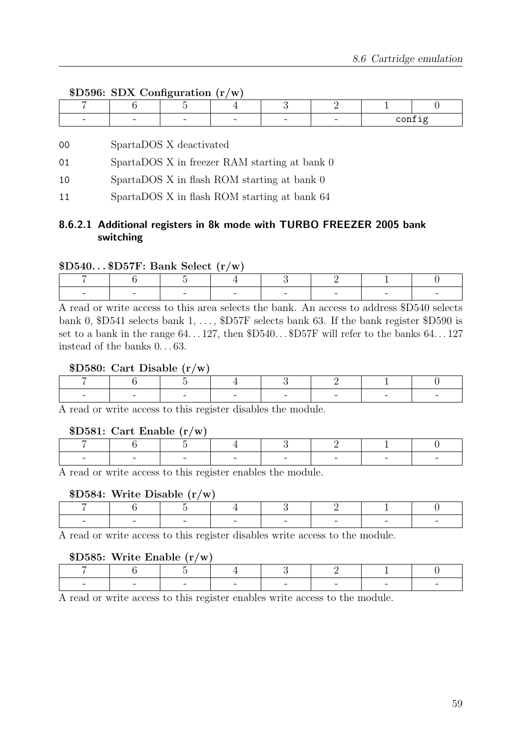#### \$D596: SDX Configuration (r/w)

| _____ | _____                    | ---- |   |   |  |
|-------|--------------------------|------|---|---|--|
|       |                          |      |   |   |  |
| -     | $\overline{\phantom{a}}$ | -    | - | - |  |

#### 00 SpartaDOS X deactivated

- 01 SpartaDOS X in freezer RAM starting at bank 0
- 10 SpartaDOS X in flash ROM starting at bank 0
- 11 SpartaDOS X in flash ROM starting at bank 64

#### 8.6.2.1 Additional registers in 8k mode with TURBO FREEZER 2005 bank switching

#### $$D540...$D57F: Bank Select (r/w)$

|  | $\sim$ |  | - |  |
|--|--------|--|---|--|

A read or write access to this area selects the bank. An access to address \$D540 selects bank 0, \$D541 selects bank 1, ..., \$D57F selects bank 63. If the bank register \$D590 is set to a bank in the range  $64...127$ , then  $D540...SD57F$  will refer to the banks  $64...127$ instead of the banks 0. . . 63.

#### \$D580: Cart Disable (r/w)

|  | $\overline{\phantom{a}}$ |   | - | $-$ |  |
|--|--------------------------|---|---|-----|--|
|  |                          | . |   |     |  |

A read or write access to this register disables the module.

#### \$D581: Cart Enable (r/w)

| $\overline{\phantom{a}}$ | $\overline{\phantom{0}}$ | $\sim$ $\sim$<br>$\sim$ | <b>Contract Contract Contract</b> | ___ | $\sim$ |  |
|--------------------------|--------------------------|-------------------------|-----------------------------------|-----|--------|--|

A read or write access to this register enables the module.

#### \$D584: Write Disable (r/w)

|  | $\sim$<br>$\sim$ | $\sim$ | $\overline{\phantom{a}}$ | $\overline{\phantom{a}}$ |  |
|--|------------------|--------|--------------------------|--------------------------|--|

A read or write access to this register disables write access to the module.

#### \$D585: Write Enable (r/w)

|  | $\sim$ | $\sim$ | __ | $\sim$ | $\sim$ |  |
|--|--------|--------|----|--------|--------|--|

A read or write access to this register enables write access to the module.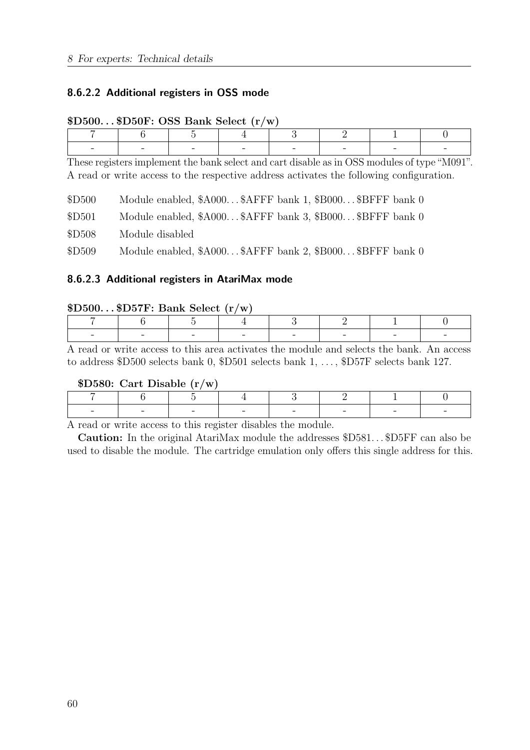#### 8.6.2.2 Additional registers in OSS mode

|        | $\psi$ Dou $\cdots$ $\psi$ Dour $\cdots$ Dop Dalik peter (1) w $\cdots$                                                                                                                 |  |   |                                                          |   |  |  |  |  |  |  |  |
|--------|-----------------------------------------------------------------------------------------------------------------------------------------------------------------------------------------|--|---|----------------------------------------------------------|---|--|--|--|--|--|--|--|
|        | 6                                                                                                                                                                                       |  | 4 | 3                                                        | 2 |  |  |  |  |  |  |  |
|        |                                                                                                                                                                                         |  |   |                                                          |   |  |  |  |  |  |  |  |
|        | These registers implement the bank select and cart disable as in OSS modules of type "M091".<br>A read or write access to the respective address activates the following configuration. |  |   |                                                          |   |  |  |  |  |  |  |  |
| \$D500 |                                                                                                                                                                                         |  |   | Module enabled, \$A000\$AFFF bank 1, \$B000\$BFFF bank 0 |   |  |  |  |  |  |  |  |
| \$D501 |                                                                                                                                                                                         |  |   | Module enabled, \$A000\$AFFF bank 3, \$B000\$BFFF bank 0 |   |  |  |  |  |  |  |  |
| \$D508 | Module disabled                                                                                                                                                                         |  |   |                                                          |   |  |  |  |  |  |  |  |

#### $$D500$ .  $D50F$   $OSS$  Bank Select  $(r/w)$

\$D509 Module enabled, \$A000...\$AFFF bank 2, \$B000...\$BFFF bank 0

#### 8.6.2.3 Additional registers in AtariMax mode

#### $$D500...$D57F: Bank Select (r/w)$

|  | $\overline{\phantom{0}}$ | $-$ | - | $-$ |  |
|--|--------------------------|-----|---|-----|--|

A read or write access to this area activates the module and selects the bank. An access to address \$D500 selects bank 0, \$D501 selects bank 1, ..., \$D57F selects bank 127.

#### \$D580: Cart Disable (r/w)

|  | - |  |  |  |
|--|---|--|--|--|

A read or write access to this register disables the module.

Caution: In the original AtariMax module the addresses \$D581...\$D5FF can also be used to disable the module. The cartridge emulation only offers this single address for this.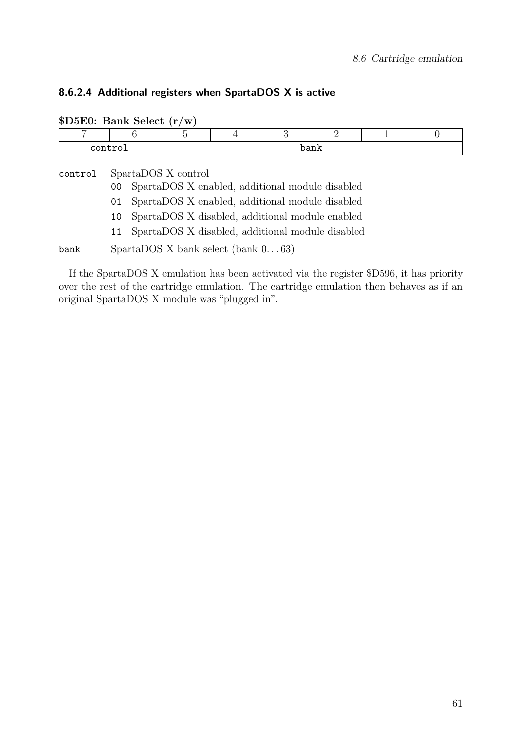#### 8.6.2.4 Additional registers when SpartaDOS X is active

| $D5E0$ : Bank Select $(r/w)$ |                                                                                                                                                                                                                                                          |      |   |   |               |  |          |
|------------------------------|----------------------------------------------------------------------------------------------------------------------------------------------------------------------------------------------------------------------------------------------------------|------|---|---|---------------|--|----------|
|                              | 6                                                                                                                                                                                                                                                        | Ġ,   | 4 | 3 | $\mathcal{D}$ |  | $\theta$ |
| control                      |                                                                                                                                                                                                                                                          | bank |   |   |               |  |          |
| control                      | SpartaDOS X control<br>SpartaDOS X enabled, additional module disabled<br>00<br>SpartaDOS X enabled, additional module disabled<br>01<br>SpartaDOS X disabled, additional module enabled<br>10<br>SpartaDOS X disabled, additional module disabled<br>11 |      |   |   |               |  |          |
| bank                         | $SpartaDOS X$ bank select (bank $063$ )                                                                                                                                                                                                                  |      |   |   |               |  |          |

If the SpartaDOS X emulation has been activated via the register \$D596, it has priority over the rest of the cartridge emulation. The cartridge emulation then behaves as if an original SpartaDOS X module was "plugged in".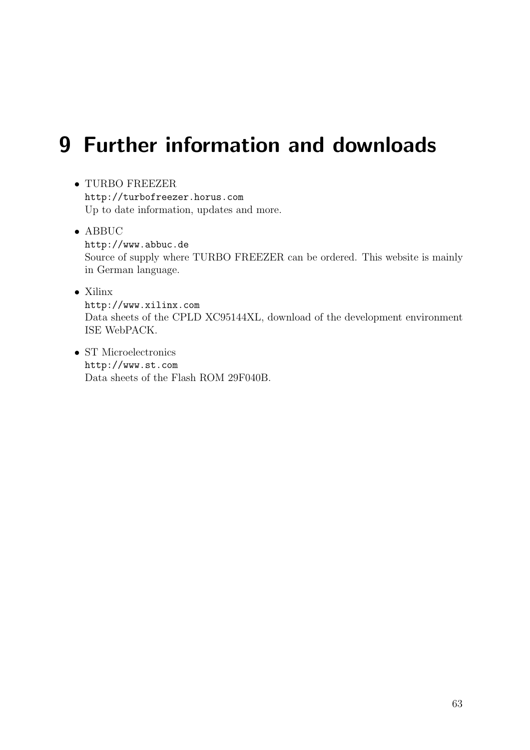# <span id="page-62-0"></span>9 Further information and downloads

• TURBO FREEZER

<http://turbofreezer.horus.com> Up to date information, updates and more.

• ABBUC

<http://www.abbuc.de> Source of supply where TURBO FREEZER can be ordered. This website is mainly in German language.

• Xilinx

<http://www.xilinx.com> Data sheets of the CPLD XC95144XL, download of the development environment ISE WebPACK.

• ST Microelectronics <http://www.st.com> Data sheets of the Flash ROM 29F040B.